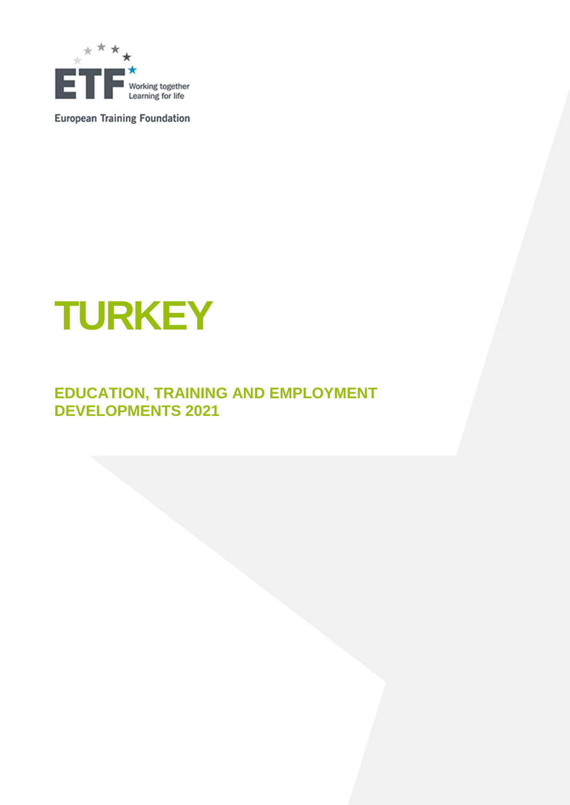

**European Training Foundation** 

# **TURKEY**

### **EDUCATION, TRAINING AND EMPLOYMENT DEVELOPMENTS 2021**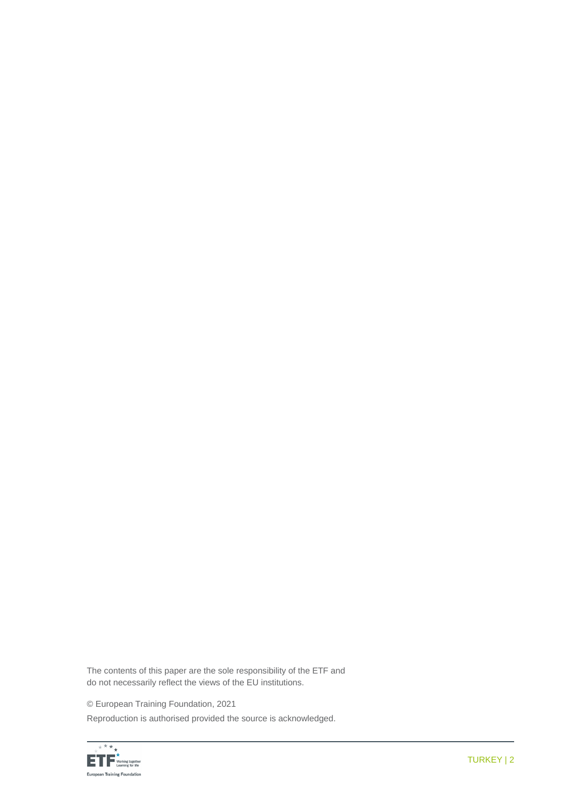The contents of this paper are the sole responsibility of the ETF and do not necessarily reflect the views of the EU institutions.

© European Training Foundation, 2021

Reproduction is authorised provided the source is acknowledged.

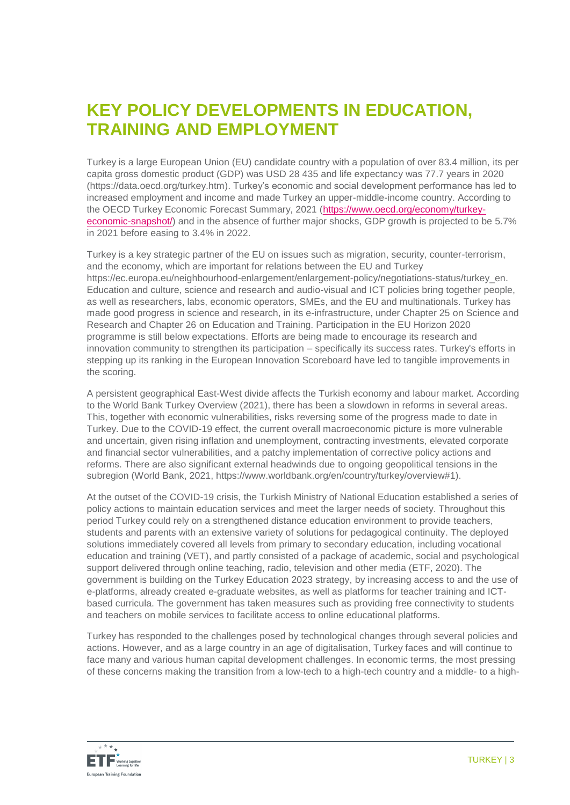### **KEY POLICY DEVELOPMENTS IN EDUCATION, TRAINING AND EMPLOYMENT**

Turkey is a large European Union (EU) candidate country with a population of over 83.4 million, its per capita gross domestic product (GDP) was USD 28 435 and life expectancy was 77.7 years in 2020 [\(https://data.oecd.org/turkey.htm\)](https://data.oecd.org/turkey.htm). Turkey's economic and social development performance has led to increased employment and income and made Turkey an upper-middle-income country. According to the OECD Turkey Economic Forecast Summary, 2021 [\(https://www.oecd.org/economy/turkey](https://www.oecd.org/economy/turkey-economic-snapshot/)[economic-snapshot/\)](https://www.oecd.org/economy/turkey-economic-snapshot/) and in the absence of further major shocks, GDP growth is projected to be 5.7% in 2021 before easing to 3.4% in 2022.

Turkey is a key strategic partner of the EU on issues such as migration, security, counter-terrorism, and the economy, which are important for relations between the EU and Turkey https://ec.europa.eu/neighbourhood-enlargement/enlargement-policy/negotiations-status/turkey\_en. Education and culture, science and research and audio-visual and ICT policies bring together people, as well as researchers, labs, economic operators, SMEs, and the EU and multinationals. Turkey has made good progress in science and research, in its e-infrastructure, under Chapter 25 on Science and Research and Chapter 26 on Education and Training. Participation in the EU Horizon 2020 programme is still below expectations. Efforts are being made to encourage its research and innovation community to strengthen its participation – specifically its success rates. Turkey's efforts in stepping up its ranking in the European Innovation Scoreboard have led to tangible improvements in the scoring.

A persistent geographical East-West divide affects the Turkish economy and labour market. According to the World Bank Turkey Overview (2021), there has been a slowdown in reforms in several areas. This, together with economic vulnerabilities, risks reversing some of the progress made to date in Turkey. Due to the COVID-19 effect, the current overall macroeconomic picture is more vulnerable and uncertain, given rising inflation and unemployment, contracting investments, elevated corporate and financial sector vulnerabilities, and a patchy implementation of corrective policy actions and reforms. There are also significant external headwinds due to ongoing geopolitical tensions in the subregion (World Bank, 2021, https://www.worldbank.org/en/country/turkey/overview#1).

At the outset of the COVID-19 crisis, the Turkish Ministry of National Education established a series of policy actions to maintain education services and meet the larger needs of society. Throughout this period Turkey could rely on a strengthened distance education environment to provide teachers, students and parents with an extensive variety of solutions for pedagogical continuity. The deployed solutions immediately covered all levels from primary to secondary education, including vocational education and training (VET), and partly consisted of a package of academic, social and psychological support delivered through online teaching, radio, television and other media (ETF, 2020). The government is building on the Turkey Education 2023 strategy, by increasing access to and the use of e-platforms, already created e-graduate websites, as well as platforms for teacher training and ICTbased curricula. The government has taken measures such as providing free connectivity to students and teachers on mobile services to facilitate access to online educational platforms.

Turkey has responded to the challenges posed by technological changes through several policies and actions. However, and as a large country in an age of digitalisation, Turkey faces and will continue to face many and various human capital development challenges. In economic terms, the most pressing of these concerns making the transition from a low-tech to a high-tech country and a middle- to a high-

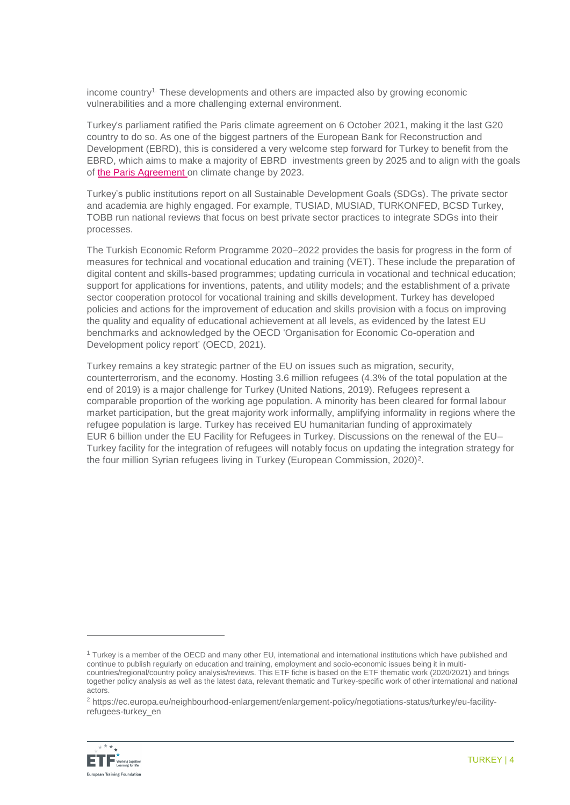income country1. These developments and others are impacted also by growing economic vulnerabilities and a more challenging external environment.

Turkey's parliament ratified the Paris climate agreement on 6 October 2021, making it the last G20 country to do so. As one of the biggest partners of the European Bank for Reconstruction and Development (EBRD), this is considered a very welcome step forward for Turkey to benefit from the EBRD, which aims to make a majority of EBRD investments green by 2025 and to align with the goals of [the Paris Agreement](https://www.ebrd.com/news/2021/ebrd-announces-full-paris-alignment-by-end2022-.html) on climate change by 2023.

Turkey's public institutions report on all Sustainable Development Goals (SDGs). The private sector and academia are highly engaged. For example, TUSIAD, MUSIAD, TURKONFED, BCSD Turkey, TOBB run national reviews that focus on best private sector practices to integrate SDGs into their processes.

The Turkish Economic Reform Programme 2020–2022 provides the basis for progress in the form of measures for technical and vocational education and training (VET). These include the preparation of digital content and skills-based programmes; updating curricula in vocational and technical education; support for applications for inventions, patents, and utility models; and the establishment of a private sector cooperation protocol for vocational training and skills development. Turkey has developed policies and actions for the improvement of education and skills provision with a focus on improving the quality and equality of educational achievement at all levels, as evidenced by the latest EU benchmarks and acknowledged by the OECD 'Organisation for Economic Co-operation and Development policy report' (OECD, 2021).

Turkey remains a key strategic partner of the EU on issues such as migration, security, counterterrorism, and the economy. Hosting 3.6 million refugees (4.3% of the total population at the end of 2019) is a major challenge for Turkey (United Nations, 2019). Refugees represent a comparable proportion of the working age population. A minority has been cleared for formal labour market participation, but the great majority work informally, amplifying informality in regions where the refugee population is large. Turkey has received EU humanitarian funding of approximately EUR 6 billion under the EU Facility for Refugees in Turkey. Discussions on the renewal of the EU– Turkey facility for the integration of refugees will notably focus on updating the integration strategy for the four million Syrian refugees living in Turkey (European Commission, 2020)<sup>2</sup>.

<sup>2</sup> https://ec.europa.eu/neighbourhood-enlargement/enlargement-policy/negotiations-status/turkey/eu-facilityrefugees-turkey\_en



 $\overline{a}$ 

 $1$  Turkey is a member of the OECD and many other EU, international and international institutions which have published and continue to publish regularly on education and training, employment and socio-economic issues being it in multicountries/regional/country policy analysis/reviews. This ETF fiche is based on the ETF thematic work (2020/2021) and brings together policy analysis as well as the latest data, relevant thematic and Turkey-specific work of other international and national actors.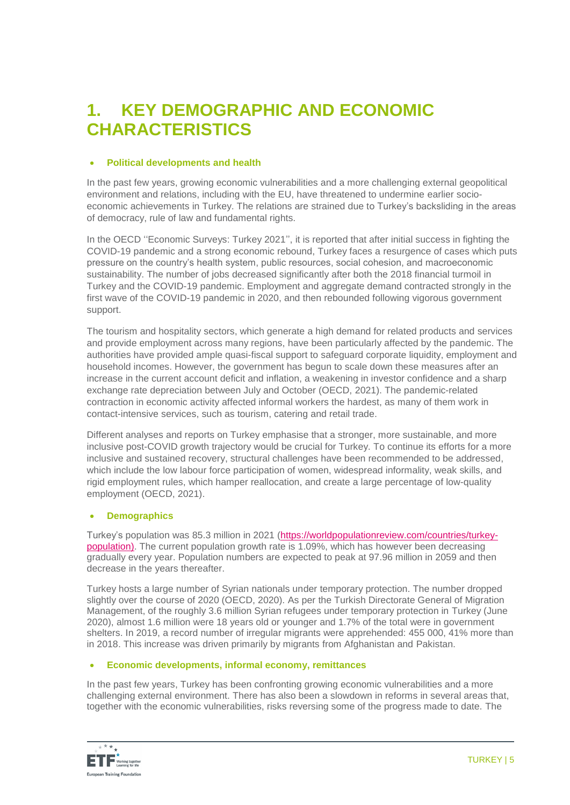### **1. KEY DEMOGRAPHIC AND ECONOMIC CHARACTERISTICS**

### **Political developments and health**

In the past few years, growing economic vulnerabilities and a more challenging external geopolitical environment and relations, including with the EU, have threatened to undermine earlier socioeconomic achievements in Turkey. The relations are strained due to Turkey's backsliding in the areas of democracy, rule of law and fundamental rights.

In the OECD ''Economic Surveys: Turkey 2021'', it is reported that after initial success in fighting the COVID-19 pandemic and a strong economic rebound, Turkey faces a resurgence of cases which puts pressure on the country's health system, public resources, social cohesion, and macroeconomic sustainability. The number of jobs decreased significantly after both the 2018 financial turmoil in Turkey and the COVID-19 pandemic. Employment and aggregate demand contracted strongly in the first wave of the COVID-19 pandemic in 2020, and then rebounded following vigorous government support.

The tourism and hospitality sectors, which generate a high demand for related products and services and provide employment across many regions, have been particularly affected by the pandemic. The authorities have provided ample quasi-fiscal support to safeguard corporate liquidity, employment and household incomes. However, the government has begun to scale down these measures after an increase in the current account deficit and inflation, a weakening in investor confidence and a sharp exchange rate depreciation between July and October (OECD, 2021). The pandemic-related contraction in economic activity affected informal workers the hardest, as many of them work in contact-intensive services, such as tourism, catering and retail trade.

Different analyses and reports on Turkey emphasise that a stronger, more sustainable, and more inclusive post-COVID growth trajectory would be crucial for Turkey. To continue its efforts for a more inclusive and sustained recovery, structural challenges have been recommended to be addressed, which include the low labour force participation of women, widespread informality, weak skills, and rigid employment rules, which hamper reallocation, and create a large percentage of low-quality employment (OECD, 2021).

### **Demographics**

Turkey's population was 85.3 million in 2021 [\(https://worldpopulationreview.com/countries/turkey](https://worldpopulationreview.com/countries/turkey-population)[population\).](https://worldpopulationreview.com/countries/turkey-population) The current population growth rate is 1.09%, which has however been decreasing gradually every year. Population numbers are expected to peak at 97.96 million in 2059 and then decrease in the years thereafter.

Turkey hosts a large number of Syrian nationals under temporary protection. The number dropped slightly over the course of 2020 (OECD, 2020). As per the Turkish Directorate General of Migration Management, of the roughly 3.6 million Syrian refugees under temporary protection in Turkey (June 2020), almost 1.6 million were 18 years old or younger and 1.7% of the total were in government shelters. In 2019, a record number of irregular migrants were apprehended: 455 000, 41% more than in 2018. This increase was driven primarily by migrants from Afghanistan and Pakistan.

### **Economic developments, informal economy, remittances**

In the past few years, Turkey has been confronting growing economic vulnerabilities and a more challenging external environment. There has also been a slowdown in reforms in several areas that, together with the economic vulnerabilities, risks reversing some of the progress made to date. The

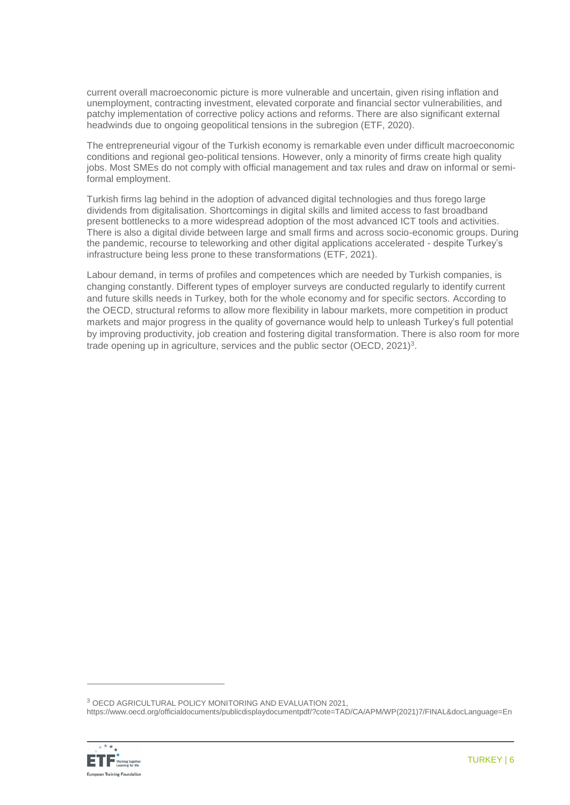current overall macroeconomic picture is more vulnerable and uncertain, given rising inflation and unemployment, contracting investment, elevated corporate and financial sector vulnerabilities, and patchy implementation of corrective policy actions and reforms. There are also significant external headwinds due to ongoing geopolitical tensions in the subregion (ETF, 2020).

The entrepreneurial vigour of the Turkish economy is remarkable even under difficult macroeconomic conditions and regional geo-political tensions. However, only a minority of firms create high quality jobs. Most SMEs do not comply with official management and tax rules and draw on informal or semiformal employment.

Turkish firms lag behind in the adoption of advanced digital technologies and thus forego large dividends from digitalisation. Shortcomings in digital skills and limited access to fast broadband present bottlenecks to a more widespread adoption of the most advanced ICT tools and activities. There is also a digital divide between large and small firms and across socio-economic groups. During the pandemic, recourse to teleworking and other digital applications accelerated - despite Turkey's infrastructure being less prone to these transformations (ETF, 2021).

Labour demand, in terms of profiles and competences which are needed by Turkish companies, is changing constantly. Different types of employer surveys are conducted regularly to identify current and future skills needs in Turkey, both for the whole economy and for specific sectors. According to the OECD, structural reforms to allow more flexibility in labour markets, more competition in product markets and major progress in the quality of governance would help to unleash Turkey's full potential by improving productivity, job creation and fostering digital transformation. There is also room for more trade opening up in agriculture, services and the public sector (OECD, 2021)<sup>3</sup>.

https://www.oecd.org/officialdocuments/publicdisplaydocumentpdf/?cote=TAD/CA/APM/WP(2021)7/FINAL&docLanguage=En



 $\overline{a}$ 

<sup>3</sup> OECD AGRICULTURAL POLICY MONITORING AND EVALUATION 2021,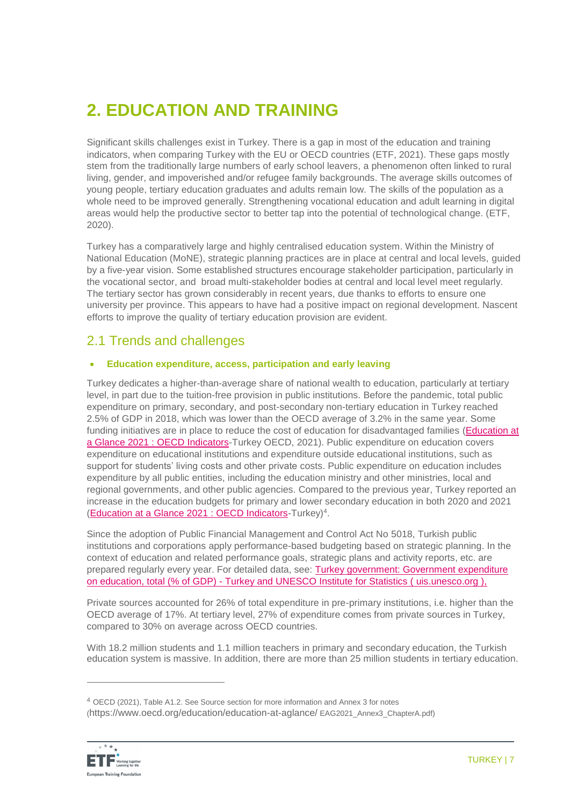# **2. EDUCATION AND TRAINING**

Significant skills challenges exist in Turkey. There is a gap in most of the education and training indicators, when comparing Turkey with the EU or OECD countries (ETF, 2021). These gaps mostly stem from the traditionally large numbers of early school leavers, a phenomenon often linked to rural living, gender, and impoverished and/or refugee family backgrounds. The average skills outcomes of young people, tertiary education graduates and adults remain low. The skills of the population as a whole need to be improved generally. Strengthening vocational education and adult learning in digital areas would help the productive sector to better tap into the potential of technological change. (ETF, 2020).

Turkey has a comparatively large and highly centralised education system. Within the Ministry of National Education (MoNE), strategic planning practices are in place at central and local levels, guided by a five-year vision. Some established structures encourage stakeholder participation, particularly in the vocational sector, and broad multi-stakeholder bodies at central and local level meet regularly. The tertiary sector has grown considerably in recent years, due thanks to efforts to ensure one university per province. This appears to have had a positive impact on regional development. Nascent efforts to improve the quality of tertiary education provision are evident.

### 2.1 Trends and challenges

### **Education expenditure, access, participation and early leaving**

Turkey dedicates a higher-than-average share of national wealth to education, particularly at tertiary level, in part due to the tuition-free provision in public institutions. Before the pandemic, total public expenditure on primary, secondary, and post-secondary non-tertiary education in Turkey reached 2.5% of GDP in 2018, which was lower than the OECD average of 3.2% in the same year. Some funding initiatives are in place to reduce the cost of education for disadvantaged families [\(Education at](https://doi.org/10.1787/b35a14e5-en)  a Glance 2021 [: OECD Indicators-](https://doi.org/10.1787/b35a14e5-en)Turkey OECD, 2021). Public expenditure on education covers expenditure on educational institutions and expenditure outside educational institutions, such as support for students' living costs and other private costs. Public expenditure on education includes expenditure by all public entities, including the education ministry and other ministries, local and regional governments, and other public agencies. Compared to the previous year, Turkey reported an increase in the education budgets for primary and lower secondary education in both 2020 and 2021 [\(Education at a Glance 2021](https://doi.org/10.1787/b35a14e5-en) : OECD Indicators-Turkey)<sup>4</sup>.

Since the adoption of Public Financial Management and Control Act No 5018, Turkish public institutions and corporations apply performance-based budgeting based on strategic planning. In the context of education and related performance goals, strategic plans and activity reports, etc. are prepared regularly every year. For detailed data, see: [Turkey government: Government expenditure](https://data.worldbank.org/indicator/SE.XPD.TOTL.GD.ZS)  on education, total (% of GDP) - [Turkey and UNESCO Institute for Statistics \(](https://data.worldbank.org/indicator/SE.XPD.TOTL.GD.ZS) [uis.unesco.org](http://uis.unesco.org/) ),

Private sources accounted for 26% of total expenditure in pre-primary institutions, i.e. higher than the OECD average of 17%. At tertiary level, 27% of expenditure comes from private sources in Turkey, compared to 30% on average across OECD countries.

With 18.2 million students and 1.1 million teachers in primary and secondary education, the Turkish education system is massive. In addition, there are more than 25 million students in tertiary education.

<sup>4</sup> OECD (2021), Table A1.2. See Source section for more information and Annex 3 for notes (<https://www.oecd.org/education/education-at-aglance/> EAG2021\_Annex3\_ChapterA.pdf)



 $\overline{a}$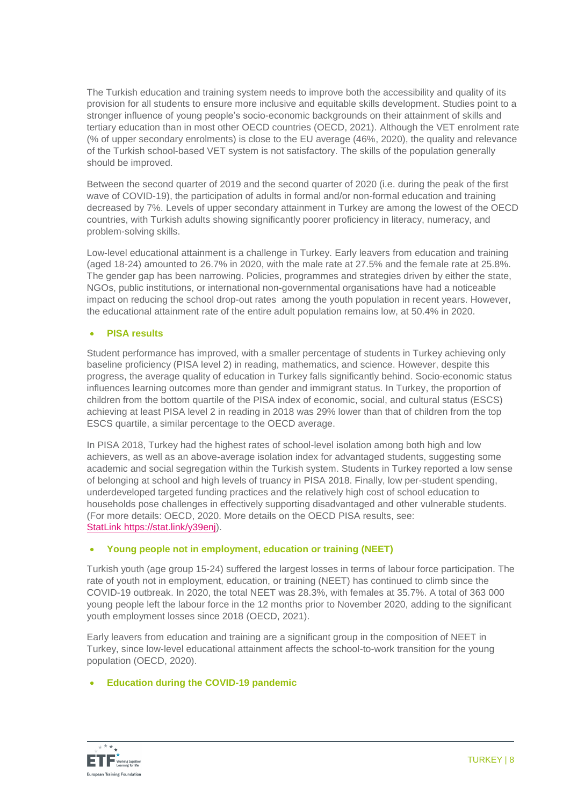The Turkish education and training system needs to improve both the accessibility and quality of its provision for all students to ensure more inclusive and equitable skills development. Studies point to a stronger influence of young people's socio-economic backgrounds on their attainment of skills and tertiary education than in most other OECD countries (OECD, 2021). Although the VET enrolment rate (% of upper secondary enrolments) is close to the EU average (46%, 2020), the quality and relevance of the Turkish school-based VET system is not satisfactory. The skills of the population generally should be improved.

Between the second quarter of 2019 and the second quarter of 2020 (i.e. during the peak of the first wave of COVID-19), the participation of adults in formal and/or non-formal education and training decreased by 7%. Levels of upper secondary attainment in Turkey are among the lowest of the OECD countries, with Turkish adults showing significantly poorer proficiency in literacy, numeracy, and problem-solving skills.

Low-level educational attainment is a challenge in Turkey. Early leavers from education and training (aged 18-24) amounted to 26.7% in 2020, with the male rate at 27.5% and the female rate at 25.8%. The gender gap has been narrowing. Policies, programmes and strategies driven by either the state, NGOs, public institutions, or international non-governmental organisations have had a noticeable impact on reducing the school drop-out rates among the youth population in recent years. However, the educational attainment rate of the entire adult population remains low, at 50.4% in 2020.

### **PISA results**

Student performance has improved, with a smaller percentage of students in Turkey achieving only baseline proficiency (PISA level 2) in reading, mathematics, and science. However, despite this progress, the average quality of education in Turkey falls significantly behind. Socio-economic status influences learning outcomes more than gender and immigrant status. In Turkey, the proportion of children from the bottom quartile of the PISA index of economic, social, and cultural status (ESCS) achieving at least PISA level 2 in reading in 2018 was 29% lower than that of children from the top ESCS quartile, a similar percentage to the OECD average.

In PISA 2018, Turkey had the highest rates of school-level isolation among both high and low achievers, as well as an above-average isolation index for advantaged students, suggesting some academic and social segregation within the Turkish system. Students in Turkey reported a low sense of belonging at school and high levels of truancy in PISA 2018. Finally, low per-student spending, underdeveloped targeted funding practices and the relatively high cost of school education to households pose challenges in effectively supporting disadvantaged and other vulnerable students. (For more details: OECD, 2020. More details on the OECD PISA results, see: StatLink [https://stat.link/y39enj\)](StatLink https:/stat.link/y39enj).

### **Young people not in employment, education or training (NEET)**

Turkish youth (age group 15-24) suffered the largest losses in terms of labour force participation. The rate of youth not in employment, education, or training (NEET) has continued to climb since the COVID-19 outbreak. In 2020, the total NEET was 28.3%, with females at 35.7%. A total of 363 000 young people left the labour force in the 12 months prior to November 2020, adding to the significant youth employment losses since 2018 (OECD, 2021).

Early leavers from education and training are a significant group in the composition of NEET in Turkey, since low-level educational attainment affects the school-to-work transition for the young population (OECD, 2020).

### **Education during the COVID-19 pandemic**

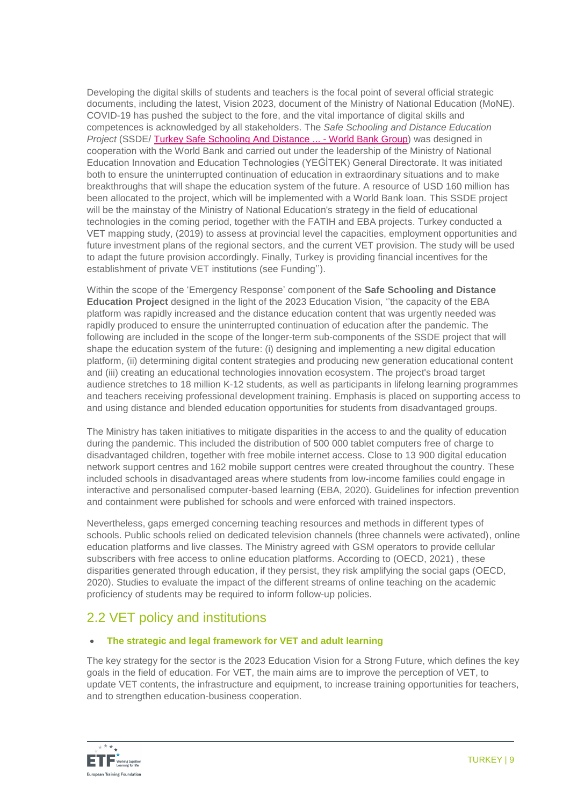Developing the digital skills of students and teachers is the focal point of several official strategic documents, including the latest, Vision 2023, document of the Ministry of National Education (MoNE). COVID-19 has pushed the subject to the fore, and the vital importance of digital skills and competences is acknowledged by all stakeholders. The *Safe Schooling and Distance Education Project* (SSDE/ [Turkey Safe Schooling And Distance ... -](https://www.google.com/url?sa=t&rct=j&q=&esrc=s&source=web&cd=&cad=rja&uact=8&ved=2ahUKEwjmms-5_pr0AhWKC-wKHb3FCUQQFnoECAsQAQ&url=https%3A%2F%2Fwww.worldbank.org%2Fen%2Fnews%2Floans-credits%2F2020%2F06%2F25%2Fturkey-safe-schooling-and-distance-education-project&usg=AOvVaw02u84qrR4_Xqce1A3RWvNh) World Bank Group) was designed in [cooperation with the World Bank and carried out under the leadership of the Ministry of National](https://www.google.com/url?sa=t&rct=j&q=&esrc=s&source=web&cd=&cad=rja&uact=8&ved=2ahUKEwjmms-5_pr0AhWKC-wKHb3FCUQQFnoECAsQAQ&url=https%3A%2F%2Fwww.worldbank.org%2Fen%2Fnews%2Floans-credits%2F2020%2F06%2F25%2Fturkey-safe-schooling-and-distance-education-project&usg=AOvVaw02u84qrR4_Xqce1A3RWvNh)  [Education Innovation and Education Technologies \(YEĞİTEK\) General Directorate. It was initiated](https://www.google.com/url?sa=t&rct=j&q=&esrc=s&source=web&cd=&cad=rja&uact=8&ved=2ahUKEwjmms-5_pr0AhWKC-wKHb3FCUQQFnoECAsQAQ&url=https%3A%2F%2Fwww.worldbank.org%2Fen%2Fnews%2Floans-credits%2F2020%2F06%2F25%2Fturkey-safe-schooling-and-distance-education-project&usg=AOvVaw02u84qrR4_Xqce1A3RWvNh)  [both to ensure the uninterrupted continuation of education in extraordinary situations and to make](https://www.google.com/url?sa=t&rct=j&q=&esrc=s&source=web&cd=&cad=rja&uact=8&ved=2ahUKEwjmms-5_pr0AhWKC-wKHb3FCUQQFnoECAsQAQ&url=https%3A%2F%2Fwww.worldbank.org%2Fen%2Fnews%2Floans-credits%2F2020%2F06%2F25%2Fturkey-safe-schooling-and-distance-education-project&usg=AOvVaw02u84qrR4_Xqce1A3RWvNh) [breakthroughs that will shape the education system of the future. A resource of USD](https://www.google.com/url?sa=t&rct=j&q=&esrc=s&source=web&cd=&cad=rja&uact=8&ved=2ahUKEwjmms-5_pr0AhWKC-wKHb3FCUQQFnoECAsQAQ&url=https%3A%2F%2Fwww.worldbank.org%2Fen%2Fnews%2Floans-credits%2F2020%2F06%2F25%2Fturkey-safe-schooling-and-distance-education-project&usg=AOvVaw02u84qrR4_Xqce1A3RWvNh) 160 million has [been allocated to the project, which will be implemented with a World Bank loan. This SSDE project](https://www.google.com/url?sa=t&rct=j&q=&esrc=s&source=web&cd=&cad=rja&uact=8&ved=2ahUKEwjmms-5_pr0AhWKC-wKHb3FCUQQFnoECAsQAQ&url=https%3A%2F%2Fwww.worldbank.org%2Fen%2Fnews%2Floans-credits%2F2020%2F06%2F25%2Fturkey-safe-schooling-and-distance-education-project&usg=AOvVaw02u84qrR4_Xqce1A3RWvNh) will [be the mainstay of the Ministry of National Education's strategy in the field of educational](https://www.google.com/url?sa=t&rct=j&q=&esrc=s&source=web&cd=&cad=rja&uact=8&ved=2ahUKEwjmms-5_pr0AhWKC-wKHb3FCUQQFnoECAsQAQ&url=https%3A%2F%2Fwww.worldbank.org%2Fen%2Fnews%2Floans-credits%2F2020%2F06%2F25%2Fturkey-safe-schooling-and-distance-education-project&usg=AOvVaw02u84qrR4_Xqce1A3RWvNh)  [technologies in the coming period, together with the FATIH and EBA projects.](https://www.google.com/url?sa=t&rct=j&q=&esrc=s&source=web&cd=&cad=rja&uact=8&ved=2ahUKEwjmms-5_pr0AhWKC-wKHb3FCUQQFnoECAsQAQ&url=https%3A%2F%2Fwww.worldbank.org%2Fen%2Fnews%2Floans-credits%2F2020%2F06%2F25%2Fturkey-safe-schooling-and-distance-education-project&usg=AOvVaw02u84qrR4_Xqce1A3RWvNh) Turkey conducted a VET mapping study, [\(2019\) to assess at provincial level the capacities, employment opportunities and](https://www.google.com/url?sa=t&rct=j&q=&esrc=s&source=web&cd=&cad=rja&uact=8&ved=2ahUKEwjmms-5_pr0AhWKC-wKHb3FCUQQFnoECAsQAQ&url=https%3A%2F%2Fwww.worldbank.org%2Fen%2Fnews%2Floans-credits%2F2020%2F06%2F25%2Fturkey-safe-schooling-and-distance-education-project&usg=AOvVaw02u84qrR4_Xqce1A3RWvNh)  [future investment plans of the regional sectors, and the current VET provision. The study will be used](https://www.google.com/url?sa=t&rct=j&q=&esrc=s&source=web&cd=&cad=rja&uact=8&ved=2ahUKEwjmms-5_pr0AhWKC-wKHb3FCUQQFnoECAsQAQ&url=https%3A%2F%2Fwww.worldbank.org%2Fen%2Fnews%2Floans-credits%2F2020%2F06%2F25%2Fturkey-safe-schooling-and-distance-education-project&usg=AOvVaw02u84qrR4_Xqce1A3RWvNh)  to adapt the [future provision accordingly. Finally, Turkey is providing](https://www.google.com/url?sa=t&rct=j&q=&esrc=s&source=web&cd=&cad=rja&uact=8&ved=2ahUKEwjmms-5_pr0AhWKC-wKHb3FCUQQFnoECAsQAQ&url=https%3A%2F%2Fwww.worldbank.org%2Fen%2Fnews%2Floans-credits%2F2020%2F06%2F25%2Fturkey-safe-schooling-and-distance-education-project&usg=AOvVaw02u84qrR4_Xqce1A3RWvNh) financial incentives for the [establishment of private VET institutions \(see Funding''\).](https://www.google.com/url?sa=t&rct=j&q=&esrc=s&source=web&cd=&cad=rja&uact=8&ved=2ahUKEwjmms-5_pr0AhWKC-wKHb3FCUQQFnoECAsQAQ&url=https%3A%2F%2Fwww.worldbank.org%2Fen%2Fnews%2Floans-credits%2F2020%2F06%2F25%2Fturkey-safe-schooling-and-distance-education-project&usg=AOvVaw02u84qrR4_Xqce1A3RWvNh)

Within the scope of the 'Emergency Response' component of the **Safe Schooling and Distance Education Project** designed in the light of the 2023 Education Vision, ''the capacity of the EBA platform was rapidly increased and the distance education content that was urgently needed was rapidly produced to ensure the uninterrupted continuation of education after the pandemic. The following are included in the scope of the longer-term sub-components of the SSDE project that will shape the education system of the future: (i) designing and implementing a new digital education platform, (ii) determining digital content strategies and producing new generation educational content and (iii) creating an educational technologies innovation ecosystem. The project's broad target audience stretches to 18 million K-12 students, as well as participants in lifelong learning programmes and teachers receiving professional development training. Emphasis is placed on supporting access to and using distance and blended education opportunities for students from disadvantaged groups.

The Ministry has taken initiatives to mitigate disparities in the access to and the quality of education during the pandemic. This included the distribution of 500 000 tablet computers free of charge to disadvantaged children, together with free mobile internet access. Close to 13 900 digital education network support centres and 162 mobile support centres were created throughout the country. These included schools in disadvantaged areas where students from low-income families could engage in interactive and personalised computer-based learning (EBA, 2020). Guidelines for infection prevention and containment were published for schools and were enforced with trained inspectors.

Nevertheless, gaps emerged concerning teaching resources and methods in different types of schools. Public schools relied on dedicated television channels (three channels were activated), online education platforms and live classes. The Ministry agreed with GSM operators to provide cellular subscribers with free access to online education platforms. According to (OECD, 2021) , these disparities generated through education, if they persist, they risk amplifying the social gaps (OECD, 2020). Studies to evaluate the impact of the different streams of online teaching on the academic proficiency of students may be required to inform follow-up policies.

### 2.2 VET policy and institutions

### **The strategic and legal framework for VET and adult learning**

The key strategy for the sector is the 2023 Education Vision for a Strong Future, which defines the key goals in the field of education. For VET, the main aims are to improve the perception of VET, to update VET contents, the infrastructure and equipment, to increase training opportunities for teachers, and to strengthen education-business cooperation.

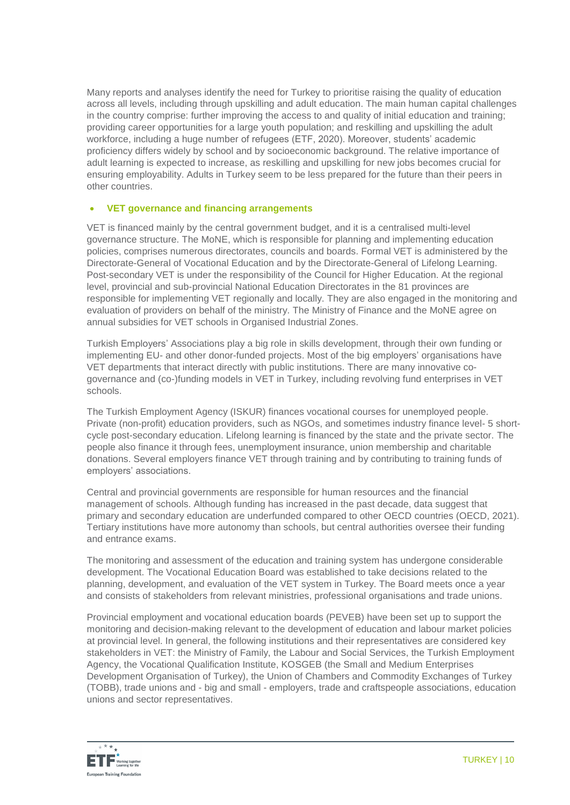Many reports and analyses identify the need for Turkey to prioritise raising the quality of education across all levels, including through upskilling and adult education. The main human capital challenges in the country comprise: further improving the access to and quality of initial education and training; providing career opportunities for a large youth population; and reskilling and upskilling the adult workforce, including a huge number of refugees (ETF, 2020). Moreover, students' academic proficiency differs widely by school and by socioeconomic background. The relative importance of adult learning is expected to increase, as reskilling and upskilling for new jobs becomes crucial for ensuring employability. Adults in Turkey seem to be less prepared for the future than their peers in other countries.

### **VET governance and financing arrangements**

VET is financed mainly by the central government budget, and it is a centralised multi-level governance structure. The MoNE, which is responsible for planning and implementing education policies, comprises numerous directorates, councils and boards. Formal VET is administered by the Directorate-General of Vocational Education and by the Directorate-General of Lifelong Learning. Post-secondary VET is under the responsibility of the Council for Higher Education. At the regional level, provincial and sub-provincial National Education Directorates in the 81 provinces are responsible for implementing VET regionally and locally. They are also engaged in the monitoring and evaluation of providers on behalf of the ministry. The Ministry of Finance and the MoNE agree on annual subsidies for VET schools in Organised Industrial Zones.

Turkish Employers' Associations play a big role in skills development, through their own funding or implementing EU- and other donor-funded projects. Most of the big employers' organisations have VET departments that interact directly with public institutions. There are many innovative cogovernance and (co-)funding models in VET in Turkey, including revolving fund enterprises in VET schools.

The Turkish Employment Agency (ISKUR) finances vocational courses for unemployed people. Private (non-profit) education providers, such as NGOs, and sometimes industry finance level- 5 shortcycle post-secondary education. Lifelong learning is financed by the state and the private sector. The people also finance it through fees, unemployment insurance, union membership and charitable donations. Several employers finance VET through training and by contributing to training funds of employers' associations.

Central and provincial governments are responsible for human resources and the financial management of schools. Although funding has increased in the past decade, data suggest that primary and secondary education are underfunded compared to other OECD countries (OECD, 2021). Tertiary institutions have more autonomy than schools, but central authorities oversee their funding and entrance exams.

The monitoring and assessment of the education and training system has undergone considerable development. The Vocational Education Board was established to take decisions related to the planning, development, and evaluation of the VET system in Turkey. The Board meets once a year and consists of stakeholders from relevant ministries, professional organisations and trade unions.

Provincial employment and vocational education boards (PEVEB) have been set up to support the monitoring and decision-making relevant to the development of education and labour market policies at provincial level. In general, the following institutions and their representatives are considered key stakeholders in VET: the Ministry of Family, the Labour and Social Services, the Turkish Employment Agency, the Vocational Qualification Institute, KOSGEB (the Small and Medium Enterprises Development Organisation of Turkey), the Union of Chambers and Commodity Exchanges of Turkey (TOBB), trade unions and - big and small - employers, trade and craftspeople associations, education unions and sector representatives.

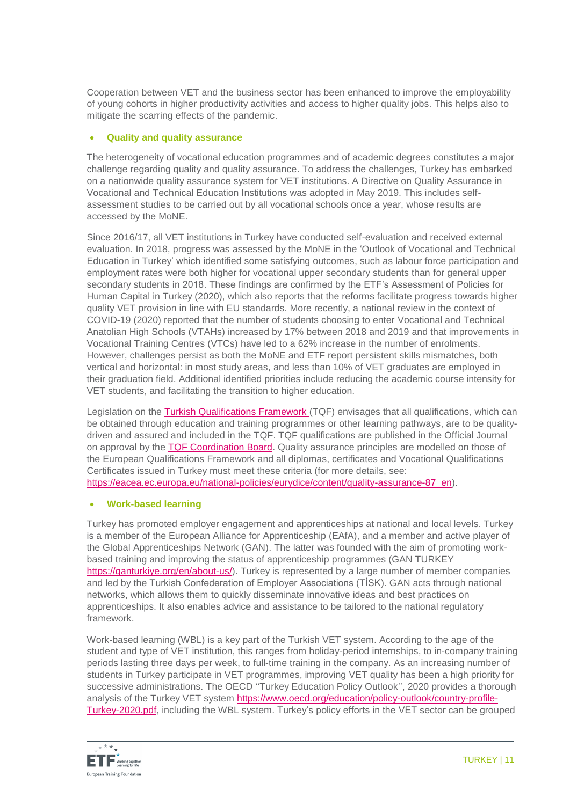Cooperation between VET and the business sector has been enhanced to improve the employability of young cohorts in higher productivity activities and access to higher quality jobs. This helps also to mitigate the scarring effects of the pandemic.

### **Quality and quality assurance**

The heterogeneity of vocational education programmes and of academic degrees constitutes a major challenge regarding quality and quality assurance. To address the challenges, Turkey has embarked on a nationwide quality assurance system for VET institutions. A Directive on Quality Assurance in Vocational and Technical Education Institutions was adopted in May 2019. This includes selfassessment studies to be carried out by all vocational schools once a year, whose results are accessed by the MoNE.

Since 2016/17, all VET institutions in Turkey have conducted self-evaluation and received external evaluation. In 2018, progress was assessed by the MoNE in the 'Outlook of Vocational and Technical Education in Turkey' which identified some satisfying outcomes, such as labour force participation and employment rates were both higher for vocational upper secondary students than for general upper secondary students in 2018. These findings are confirmed by the ETF's Assessment of Policies for Human Capital in Turkey (2020), which also reports that the reforms facilitate progress towards higher quality VET provision in line with EU standards. More recently, a national review in the context of COVID-19 (2020) reported that the number of students choosing to enter Vocational and Technical Anatolian High Schools (VTAHs) increased by 17% between 2018 and 2019 and that improvements in Vocational Training Centres (VTCs) have led to a 62% increase in the number of enrolments. However, challenges persist as both the MoNE and ETF report persistent skills mismatches, both vertical and horizontal: in most study areas, and less than 10% of VET graduates are employed in their graduation field. Additional identified priorities include reducing the academic course intensity for VET students, and facilitating the transition to higher education.

Legislation on the [Turkish Qualifications Framework](https://www.myk.gov.tr/TRR/File7.pdf) (TQF) envisages that all qualifications, which can be obtained through education and training programmes or other learning pathways, are to be qualitydriven and assured and included in the TQF. TQF qualifications are published in the Official Journal on approval by the [TQF Coordination Board.](https://tyc.gov.tr/sayfa/tyc-koordinasyon-kurulu-i6be4cf9b-8007-43f5-b129-019bfe047d89.html) Quality assurance principles are modelled on those of the European Qualifications Framework and all diplomas, certificates and Vocational Qualifications Certificates issued in Turkey must meet these criteria (for more details, see:

https://eacea.ec.europa.eu/national-policies/eurydice/content/quality-assurance-87 en).

### **Work-based learning**

Turkey has promoted employer engagement and apprenticeships at national and local levels. Turkey is a member of the European Alliance for Apprenticeship (EAfA), and a member and active player of the Global Apprenticeships Network (GAN). The latter was founded with the aim of promoting workbased training and improving the status of apprenticeship programmes (GAN TURKEY [https://ganturkiye.org/en/about-us/\)](https://ganturkiye.org/en/about-us/). Turkey is represented by a large number of member companies and led by the Turkish Confederation of Employer Associations (TİSK). GAN acts through national networks, which allows them to quickly disseminate innovative ideas and best practices on apprenticeships. It also enables advice and assistance to be tailored to the national regulatory framework.

Work-based learning (WBL) is a key part of the Turkish VET system. According to the age of the student and type of VET institution, this ranges from holiday-period internships, to in-company training periods lasting three days per week, to full-time training in the company. As an increasing number of students in Turkey participate in VET programmes, improving VET quality has been a high priority for successive administrations. The OECD ''Turkey Education Policy Outlook'', 2020 provides a thorough analysis of the Turkey VET system [https://www.oecd.org/education/policy-outlook/country-profile-](https://www.oecd.org/education/policy-outlook/country-profile-Turkey-2020.pdf)[Turkey-2020.pdf,](https://www.oecd.org/education/policy-outlook/country-profile-Turkey-2020.pdf) including the WBL system. Turkey's policy efforts in the VET sector can be grouped

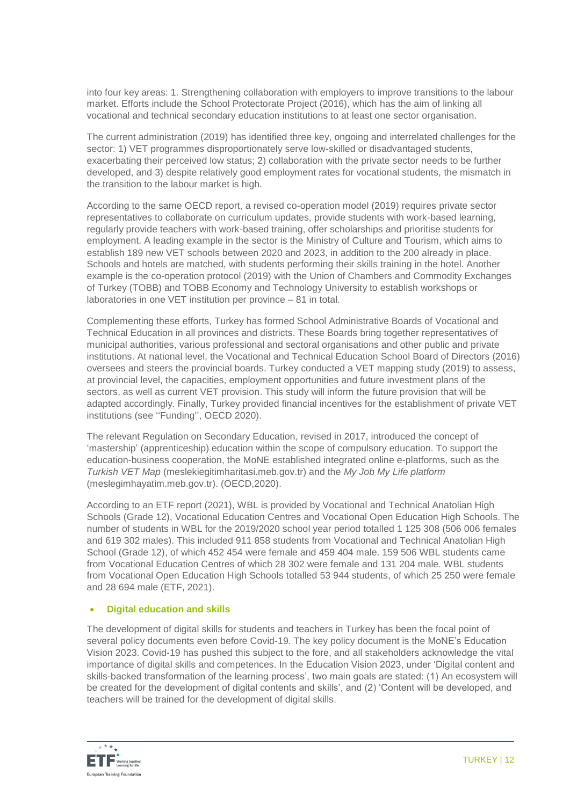into four key areas: 1. Strengthening collaboration with employers to improve transitions to the labour market. Efforts include the School Protectorate Project (2016), which has the aim of linking all vocational and technical secondary education institutions to at least one sector organisation.

The current administration (2019) has identified three key, ongoing and interrelated challenges for the sector: 1) VET programmes disproportionately serve low-skilled or disadvantaged students, exacerbating their perceived low status; 2) collaboration with the private sector needs to be further developed, and 3) despite relatively good employment rates for vocational students, the mismatch in the transition to the labour market is high.

According to the same OECD report, a revised co-operation model (2019) requires private sector representatives to collaborate on curriculum updates, provide students with work-based learning, regularly provide teachers with work-based training, offer scholarships and prioritise students for employment. A leading example in the sector is the Ministry of Culture and Tourism, which aims to establish 189 new VET schools between 2020 and 2023, in addition to the 200 already in place. Schools and hotels are matched, with students performing their skills training in the hotel. Another example is the co-operation protocol (2019) with the Union of Chambers and Commodity Exchanges of Turkey (TOBB) and TOBB Economy and Technology University to establish workshops or laboratories in one VET institution per province – 81 in total.

Complementing these efforts, Turkey has formed School Administrative Boards of Vocational and Technical Education in all provinces and districts. These Boards bring together representatives of municipal authorities, various professional and sectoral organisations and other public and private institutions. At national level, the Vocational and Technical Education School Board of Directors (2016) oversees and steers the provincial boards. Turkey conducted a VET mapping study (2019) to assess, at provincial level, the capacities, employment opportunities and future investment plans of the sectors, as well as current VET provision. This study will inform the future provision that will be adapted accordingly. Finally, Turkey provided financial incentives for the establishment of private VET institutions (see ''Funding'', OECD 2020).

The relevant Regulation on Secondary Education, revised in 2017, introduced the concept of 'mastership' (apprenticeship) education within the scope of compulsory education. To support the education-business cooperation, the MoNE established integrated online e-platforms, such as the *Turkish VET Map* (meslekiegitimharitasi.meb.gov.tr) and the *My Job My Life platform* (meslegimhayatim.meb.gov.tr). (OECD,2020).

According to an ETF report (2021), WBL is provided by Vocational and Technical Anatolian High Schools (Grade 12), Vocational Education Centres and Vocational Open Education High Schools. The number of students in WBL for the 2019/2020 school year period totalled 1 125 308 (506 006 females and 619 302 males). This included 911 858 students from Vocational and Technical Anatolian High School (Grade 12), of which 452 454 were female and 459 404 male. 159 506 WBL students came from Vocational Education Centres of which 28 302 were female and 131 204 male. WBL students from Vocational Open Education High Schools totalled 53 944 students, of which 25 250 were female and 28 694 male (ETF, 2021).

### **Digital education and skills**

The development of digital skills for students and teachers in Turkey has been the focal point of several policy documents even before Covid-19. The key policy document is the MoNE's Education Vision 2023. Covid-19 has pushed this subject to the fore, and all stakeholders acknowledge the vital importance of digital skills and competences. In the Education Vision 2023, under 'Digital content and skills-backed transformation of the learning process', two main goals are stated: (1) An ecosystem will be created for the development of digital contents and skills', and (2) 'Content will be developed, and teachers will be trained for the development of digital skills.

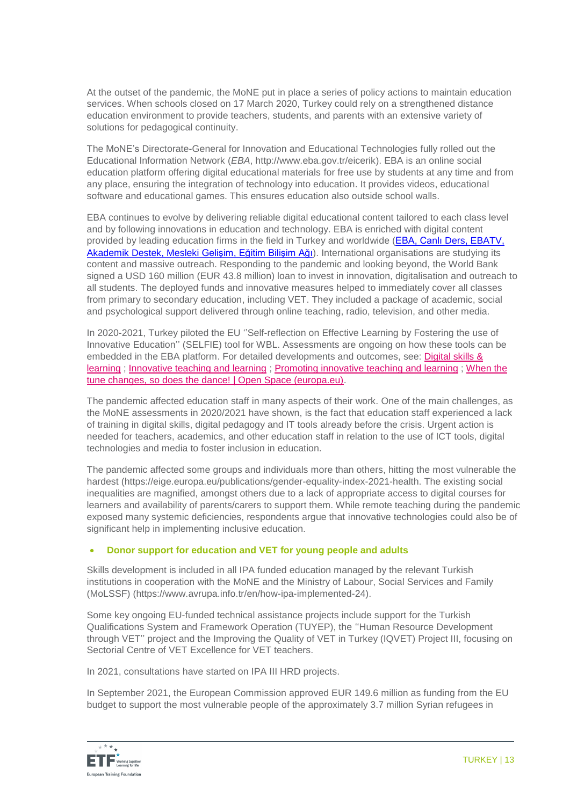At the outset of the pandemic, the MoNE put in place a series of policy actions to maintain education services. When schools closed on 17 March 2020, Turkey could rely on a strengthened distance education environment to provide teachers, students, and parents with an extensive variety of solutions for pedagogical continuity.

The MoNE's Directorate-General for Innovation and Educational Technologies fully rolled out the Educational Information Network (*EBA*, http://www.eba.gov.tr/eicerik). EBA is an online social education platform offering digital educational materials for free use by students at any time and from any place, ensuring the integration of technology into education. It provides videos, educational software and educational games. This ensures education also outside school walls.

EBA continues to evolve by delivering reliable digital educational content tailored to each class level and by following innovations in education and technology. EBA is enriched with digital content provided by leading education firms in the field in Turkey and worldwide (EBA, Canlı Ders, EBATV, Akademik [Destek, Mesleki](https://www.eba.gov.tr/) Gelişim, Eğitim Bilişim Ağı). International organisations are studying its content and massive outreach. Responding to the pandemic and looking beyond, the World Bank signed a USD 160 million (EUR 43.8 million) loan to invest in innovation, digitalisation and outreach to all students. The deployed funds and innovative measures helped to immediately cover all classes from primary to secondary education, including VET. They included a package of academic, social and psychological support delivered through online teaching, radio, television, and other media.

In 2020-2021, Turkey piloted the EU ''Self-reflection on Effective Learning by Fostering the use of Innovative Education'' (SELFIE) tool for WBL. Assessments are ongoing on how these tools can be embedded in the EBA platform. For detailed developments and outcomes, see: [Digital skills &](https://openspace.etf.europa.eu/taxonomy/term/11)  [learning](https://openspace.etf.europa.eu/taxonomy/term/11) ; [Innovative teaching and learning](https://openspace.etf.europa.eu/related-practice-areas/innovative-teaching-and-learning) ; [Promoting innovative teaching and learning](https://openspace.etf.europa.eu/content-tags/promoting-innovative-teaching-and-learning) ; [When the](https://openspace.etf.europa.eu/blog-posts/when-tune-changes-so-does-dance)  [tune changes, so does the dance! | Open Space \(europa.eu\).](https://openspace.etf.europa.eu/blog-posts/when-tune-changes-so-does-dance)

The pandemic affected education staff in many aspects of their work. One of the main challenges, as the MoNE assessments in 2020/2021 have shown, is the fact that education staff experienced a lack of training in digital skills, digital pedagogy and IT tools already before the crisis. Urgent action is needed for teachers, academics, and other education staff in relation to the use of ICT tools, digital technologies and media to foster inclusion in education.

The pandemic affected some groups and individuals more than others, hitting the most vulnerable the hardest (https://eige.europa.eu/publications/gender-equality-index-2021-health. The existing social inequalities are magnified, amongst others due to a lack of appropriate access to digital courses for learners and availability of parents/carers to support them. While remote teaching during the pandemic exposed many systemic deficiencies, respondents argue that innovative technologies could also be of significant help in implementing inclusive education.

### **Donor support for education and VET for young people and adults**

Skills development is included in all IPA funded education managed by the relevant Turkish institutions in cooperation with the MoNE and the Ministry of Labour, Social Services and Family (MoLSSF) (https://www.avrupa.info.tr/en/how-ipa-implemented-24).

Some key ongoing EU-funded technical assistance projects include support for the Turkish Qualifications System and Framework Operation (TUYEP), the ''Human Resource Development through VET'' project and the Improving the Quality of VET in Turkey (IQVET) Project III, focusing on Sectorial Centre of VET Excellence for VET teachers.

In 2021, consultations have started on IPA III HRD projects.

In September 2021, the European Commission approved EUR 149.6 million as funding from the EU budget to support the most vulnerable people of the approximately 3.7 million Syrian refugees in

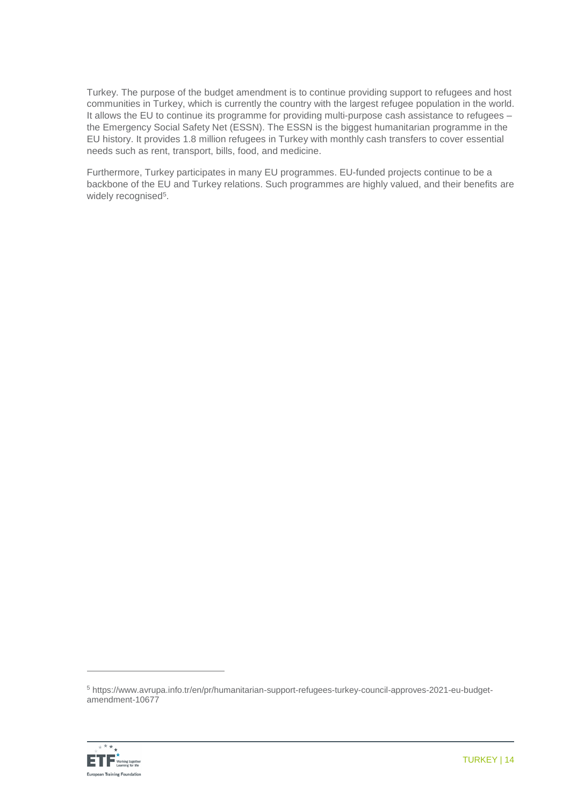Turkey. The purpose of the budget amendment is to continue providing support to refugees and host communities in Turkey, which is currently the country with the largest refugee population in the world. It allows the EU to continue its programme for providing multi-purpose cash assistance to refugees the Emergency Social Safety Net (ESSN). The ESSN is the biggest humanitarian programme in the EU history. It provides 1.8 million refugees in Turkey with monthly cash transfers to cover essential needs such as rent, transport, bills, food, and medicine.

Furthermore, Turkey participates in many EU programmes. [EU-funded projects continue to be a](https://www.google.com/url?sa=t&rct=j&q=&esrc=s&source=web&cd=&cad=rja&uact=8&ved=2ahUKEwiXzrjO_Zf0AhWviv0HHXPKBS8QFnoECBQQAQ&url=https%3A%2F%2Fwww.avrupa.info.tr%2Fen%2Feu-funded-projects-in-turkey&usg=AOvVaw2dkHaMLXpEFJmou3T7SkZ2)  [backbone of the EU and Turkey relations. Such programmes are highly valued, and their benefits are](https://www.google.com/url?sa=t&rct=j&q=&esrc=s&source=web&cd=&cad=rja&uact=8&ved=2ahUKEwiXzrjO_Zf0AhWviv0HHXPKBS8QFnoECBQQAQ&url=https%3A%2F%2Fwww.avrupa.info.tr%2Fen%2Feu-funded-projects-in-turkey&usg=AOvVaw2dkHaMLXpEFJmou3T7SkZ2)  [widely recognised](https://www.google.com/url?sa=t&rct=j&q=&esrc=s&source=web&cd=&cad=rja&uact=8&ved=2ahUKEwiXzrjO_Zf0AhWviv0HHXPKBS8QFnoECBQQAQ&url=https%3A%2F%2Fwww.avrupa.info.tr%2Fen%2Feu-funded-projects-in-turkey&usg=AOvVaw2dkHaMLXpEFJmou3T7SkZ2)<sup>5</sup>.

<sup>5</sup> https://www.avrupa.info.tr/en/pr/humanitarian-support-refugees-turkey-council-approves-2021-eu-budgetamendment-10677



 $\overline{a}$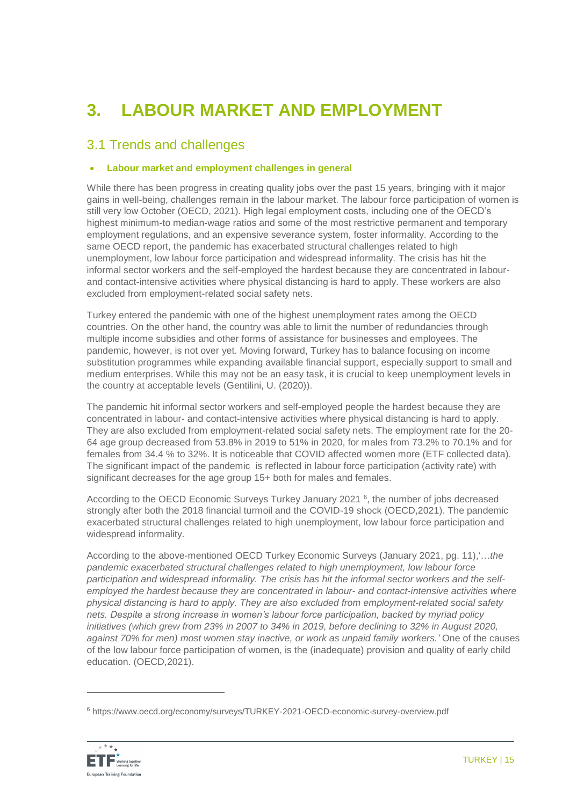# **3. LABOUR MARKET AND EMPLOYMENT**

### 3.1 Trends and challenges

### **Labour market and employment challenges in general**

While there has been progress in creating quality jobs over the past 15 years, bringing with it major gains in well-being, challenges remain in the labour market. The labour force participation of women is still very low October (OECD, 2021). High legal employment costs, including one of the OECD's highest minimum-to median-wage ratios and some of the most restrictive permanent and temporary employment regulations, and an expensive severance system, foster informality. According to the same [OECD report, t](https://doi.org/10.1787/2cd09ab1-en)he pandemic has exacerbated structural challenges related to high unemployment, low labour force participation and widespread informality. The crisis has hit the informal sector workers and the self-employed the hardest because they are concentrated in labourand contact-intensive activities where physical distancing is hard to apply. These workers are also excluded from employment-related social safety nets.

Turkey entered the pandemic with one of the highest unemployment rates among the OECD countries. On the other hand, the country was able to limit the number of redundancies through multiple income subsidies and other forms of assistance for businesses and employees. The pandemic, however, is not over yet. Moving forward, Turkey has to balance focusing on income substitution programmes while expanding available financial support, especially support to small and medium enterprises. While this may not be an easy task, it is crucial to keep unemployment levels in the country at acceptable levels (Gentilini, U. (2020)).

The pandemic hit informal sector workers and self-employed people the hardest because they are concentrated in labour- and contact-intensive activities where physical distancing is hard to apply. They are also excluded from employment-related social safety nets. The employment rate for the 20- 64 age group decreased from 53.8% in 2019 to 51% in 2020, for males from 73.2% to 70.1% and for females from 34.4 % to 32%. It is noticeable that COVID affected women more (ETF collected data). The significant impact of the pandemic is reflected in labour force participation (activity rate) with significant decreases for the age group 15+ both for males and females.

According to the OECD Economic Surveys Turkey January 2021 <sup>6</sup>, the number of jobs decreased strongly after both the 2018 financial turmoil and the COVID-19 shock (OECD,2021). The pandemic exacerbated structural challenges related to high unemployment, low labour force participation and widespread informality.

According to the above-mentioned OECD Turkey Economic Surveys (January 2021, pg. 11),'…*the pandemic exacerbated structural challenges related to high unemployment, low labour force participation and widespread informality. The crisis has hit the informal sector workers and the selfemployed the hardest because they are concentrated in labour- and contact-intensive activities where physical distancing is hard to apply. They are also excluded from employment-related social safety nets. Despite a strong increase in women's labour force participation, backed by myriad policy initiatives (which grew from 23% in 2007 to 34% in 2019, before declining to 32% in August 2020, against 70% for men) most women stay inactive, or work as unpaid family workers.'* One of the causes of the low labour force participation of women, is the (inadequate) provision and quality of early child education. (OECD,2021).

<sup>6</sup> https://www.oecd.org/economy/surveys/TURKEY-2021-OECD-economic-survey-overview.pdf



 $\overline{a}$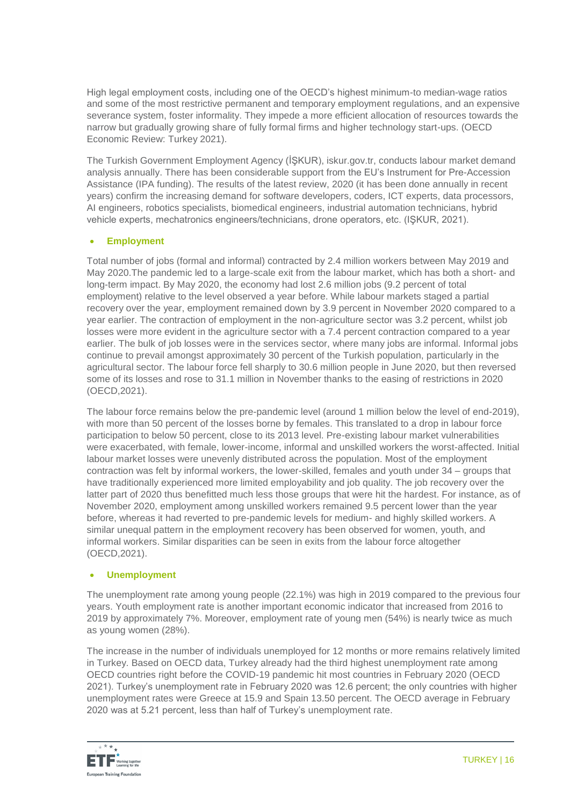High legal employment costs, including one of the OECD's highest minimum-to median-wage ratios and some of the most restrictive permanent and temporary employment regulations, and an expensive severance system, foster informality. They impede a more efficient allocation of resources towards the narrow but gradually growing share of fully formal firms and higher technology start-ups. (OECD Economic Review: Turkey 2021).

The Turkish Government Employment Agency [\(İŞKUR\), iskur.gov.tr,](https://www.iskur.gov.tr/en) conducts labour market demand analysis annually. There has been considerable support from the EU's Instrument for Pre-Accession Assistance (IPA funding). The results of the latest review, 2020 (it has been done annually in recent years) confirm the increasing demand for software developers, coders, ICT experts, data processors, AI engineers, robotics specialists, biomedical engineers, industrial automation technicians, hybrid vehicle experts, mechatronics engineers/technicians, drone operators, etc. (IŞKUR, 2021).

### **Employment**

Total number of jobs (formal and informal) contracted by 2.4 million workers between May 2019 and May 2020.The pandemic led to a large-scale exit from the labour market, which has both a short- and long-term impact. By May 2020, the economy had lost 2.6 million jobs (9.2 percent of total employment) relative to the level observed a year before. While labour markets staged a partial recovery over the year, employment remained down by 3.9 percent in November 2020 compared to a year earlier. The contraction of employment in the non-agriculture sector was 3.2 percent, whilst job losses were more evident in the agriculture sector with a 7.4 percent contraction compared to a year earlier. The bulk of job losses were in the services sector, where many jobs are informal. Informal jobs continue to prevail amongst approximately 30 percent of the Turkish population, particularly in the agricultural sector. The labour force fell sharply to 30.6 million people in June 2020, but then reversed some of its losses and rose to 31.1 million in November thanks to the easing of restrictions in 2020 (OECD,2021).

The labour force remains below the pre-pandemic level (around 1 million below the level of end-2019), with more than 50 percent of the losses borne by females. This translated to a drop in labour force participation to below 50 percent, close to its 2013 level. Pre-existing labour market vulnerabilities were exacerbated, with female, lower-income, informal and unskilled workers the worst-affected. Initial labour market losses were unevenly distributed across the population. Most of the employment contraction was felt by informal workers, the lower-skilled, females and youth under 34 – groups that have traditionally experienced more limited employability and job quality. The job recovery over the latter part of 2020 thus benefitted much less those groups that were hit the hardest. For instance, as of November 2020, employment among unskilled workers remained 9.5 percent lower than the year before, whereas it had reverted to pre-pandemic levels for medium- and highly skilled workers. A similar unequal pattern in the employment recovery has been observed for women, youth, and informal workers. Similar disparities can be seen in exits from the labour force altogether (OECD,2021).

### **Unemployment**

The unemployment rate among young people (22.1%) was high in 2019 compared to the previous four years. Youth employment rate is another important economic indicator that increased from 2016 to 2019 by approximately 7%. Moreover, employment rate of young men (54%) is nearly twice as much as young women (28%).

The increase in the number of individuals unemployed for 12 months or more remains relatively limited in Turkey. Based on OECD data, Turkey already had the third highest unemployment rate among OECD countries right before the COVID-19 pandemic hit most countries in February 2020 (OECD 2021). Turkey's unemployment rate in February 2020 was 12.6 percent; the only countries with higher unemployment rates were Greece at 15.9 and Spain 13.50 percent. The OECD average in February 2020 was at 5.21 percent, less than half of Turkey's unemployment rate.

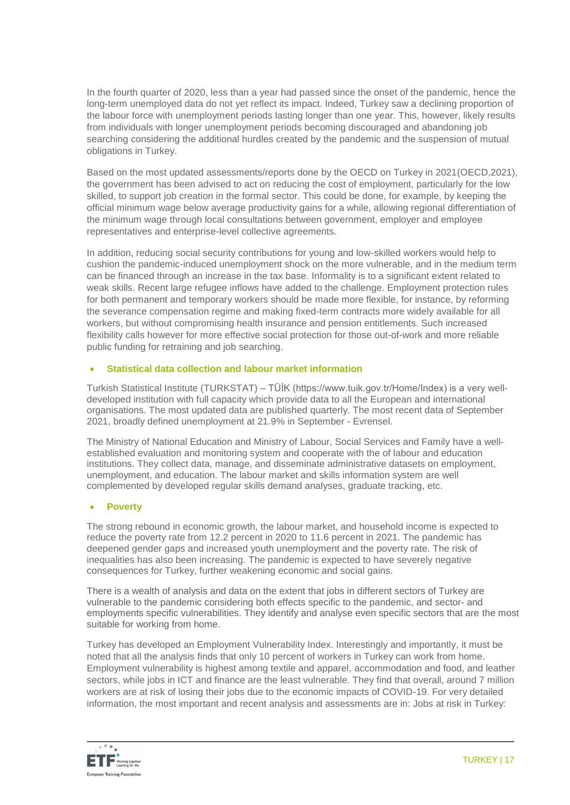In the fourth quarter of 2020, less than a year had passed since the onset of the pandemic, hence the long-term unemployed data do not yet reflect its impact. Indeed, Turkey saw a declining proportion of the labour force with unemployment periods lasting longer than one year. This, however, likely results from individuals with longer unemployment periods becoming discouraged and abandoning job searching considering the additional hurdles created by the pandemic and the suspension of mutual obligations in Turkey.

Based on the most updated assessments/reports done by the OECD on Turkey in 2021(OECD,2021), the government has been advised to act on reducing the cost of employment, particularly for the low skilled, to support job creation in the formal sector. This could be done, for example, by keeping the official minimum wage below average productivity gains for a while, allowing regional differentiation of the minimum wage through local consultations between government, employer and employee representatives and enterprise-level collective agreements.

In addition, reducing social security contributions for young and low-skilled workers would help to cushion the pandemic-induced unemployment shock on the more vulnerable, and in the medium term can be financed through an increase in the tax base. Informality is to a significant extent related to weak skills. Recent large refugee inflows have added to the challenge. Employment protection rules for both permanent and temporary workers should be made more flexible, for instance, by reforming the severance compensation regime and making fixed-term contracts more widely available for all workers, but without compromising health insurance and pension entitlements. Such increased flexibility calls however for more effective social protection for those out-of-work and more reliable public funding for retraining and job searching.

### **Statistical data collection and labour market information**

Turkish Statistical Institute (TURKSTAT) – TÜİK (https://www.tuik.gov.tr/Home/Index) is a very welldeveloped institution with full capacity which provide data to all the European and international organisations. The most updated data are published quarterly. The most recent data of September 2021, [broadly defined unemployment at 21.9%](https://www.evrensel.net/daily/447480/according-to-data-presented-by-turkish-statistical-institute-broadly-defined-unemployment-was-at-21-9-in-september) in September - Evrensel.

The Ministry of National Education and Ministry of Labour, Social Services and Family have a wellestablished evaluation and monitoring system and cooperate with the of labour and education institutions. They collect data, manage, and disseminate administrative datasets on employment, unemployment, and education. The labour market and skills information system are well complemented by developed regular skills demand analyses, graduate tracking, etc.

### **Poverty**

The strong rebound in economic growth, the labour market, and household income is expected to reduce the poverty rate from 12.2 percent in 2020 to 11.6 percent in 2021. The pandemic has deepened gender gaps and increased youth unemployment and the poverty rate. The risk of inequalities has also been increasing. The pandemic is expected to have severely negative consequences for Turkey, further weakening economic and social gains.

There is a wealth of analysis and data on the extent that jobs in different sectors of Turkey are vulnerable to the pandemic considering both effects specific to the pandemic, and sector- and employments specific vulnerabilities. They identify and analyse even specific sectors that are the most suitable for working from home.

Turkey has developed an Employment Vulnerability Index. Interestingly and importantly, it must be noted that all the analysis finds that only 10 percent of workers in Turkey can work from home. Employment vulnerability is highest among textile and apparel, accommodation and food, and leather sectors, while jobs in ICT and finance are the least vulnerable. They find that overall, around 7 million workers are at risk of losing their jobs due to the economic impacts of COVID-19. For very detailed information, the most important and recent analysis and assessments are in: Jobs at risk in Turkey:

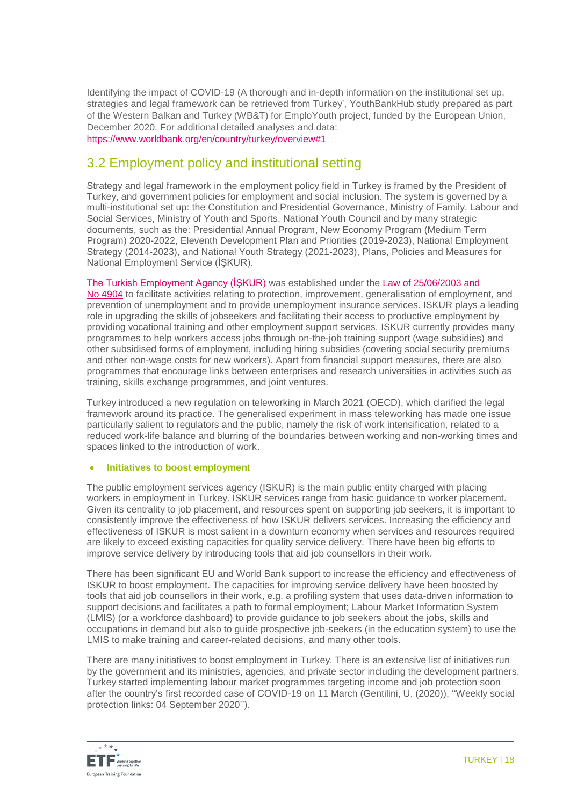Identifying the impact of COVID-19 (A thorough and in-depth information on the institutional set up, strategies and legal framework can be retrieved from Turkey', YouthBankHub study prepared as part of the Western Balkan and Turkey (WB&T) for EmploYouth project, funded by the European Union, December 2020. For additional detailed analyses and data: <https://www.worldbank.org/en/country/turkey/overview#1>

### 3.2 Employment policy and institutional setting

Strategy and legal framework in the employment policy field in Turkey is framed by the President of Turkey, and government policies for employment and social inclusion. The system is governed by a multi-institutional set up: the Constitution and Presidential Governance, Ministry of Family, Labour and Social Services, Ministry of Youth and Sports, National Youth Council and by many strategic documents, such as the: Presidential Annual Program, New Economy Program (Medium Term Program) 2020-2022, Eleventh Development Plan and Priorities (2019-2023), National Employment Strategy (2014-2023), and National Youth Strategy (2021-2023), Plans, Policies and Measures for National Employment Service (İŞKUR).

[The Turkish Employment Agency \(İŞKUR\)](http://www.iskur.gov.tr/en-us/homepage.aspx) was established under the [Law of 25/06/2003 and](http://www.mevzuat.gov.tr/MevzuatMetin/1.5.4904.pdf)  No [4904](http://www.mevzuat.gov.tr/MevzuatMetin/1.5.4904.pdf) to facilitate activities relating to protection, improvement, generalisation of employment, and prevention of unemployment and to provide unemployment insurance services. ISKUR plays a leading role in upgrading the skills of jobseekers and facilitating their access to productive employment by providing vocational training and other employment support services. ISKUR currently provides many programmes to help workers access jobs through on-the-job training support (wage subsidies) and other subsidised forms of employment, including hiring subsidies (covering social security premiums and other non-wage costs for new workers). Apart from financial support measures, there are also programmes that encourage links between enterprises and research universities in activities such as training, skills exchange programmes, and joint ventures.

Turkey introduced a new regulation on teleworking in March 2021 (OECD), which clarified the legal framework around its practice. The generalised experiment in mass teleworking has made one issue particularly salient to regulators and the public, namely the risk of work intensification, related to a reduced work-life balance and blurring of the boundaries between working and non-working times and spaces linked to the introduction of work.

### **Initiatives to boost employment**

The public employment services agency (ISKUR) is the main public entity charged with placing workers in employment in Turkey. ISKUR services range from basic guidance to worker placement. Given its centrality to job placement, and resources spent on supporting job seekers, it is important to consistently improve the effectiveness of how ISKUR delivers services. Increasing the efficiency and effectiveness of ISKUR is most salient in a downturn economy when services and resources required are likely to exceed existing capacities for quality service delivery. There have been big efforts to improve service delivery by introducing tools that aid job counsellors in their work.

There has been significant EU and World Bank support to increase the efficiency and effectiveness of ISKUR to boost employment. The capacities for improving service delivery have been boosted by tools that aid job counsellors in their work, e.g. a profiling system that uses data-driven information to support decisions and facilitates a path to formal employment; Labour Market Information System (LMIS) (or a workforce dashboard) to provide guidance to job seekers about the jobs, skills and occupations in demand but also to guide prospective job-seekers (in the education system) to use the LMIS to make training and career-related decisions, and many other tools.

There are many initiatives to boost employment in Turkey. There is an extensive list of initiatives run by the government and its ministries, agencies, and private sector including the development partners. Turkey started implementing labour market programmes targeting income and job protection soon after the country's first recorded case of COVID-19 on 11 March (Gentilini, U. (2020)), ''Weekly social protection links: 04 September 2020'').

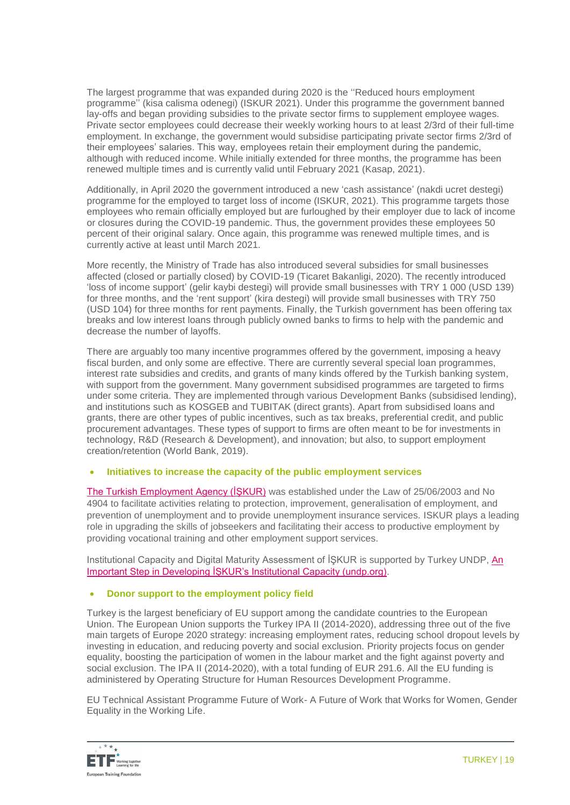The largest programme that was expanded during 2020 is the ''Reduced hours employment programme'' (kisa calisma odenegi) (ISKUR 2021). Under this programme the government banned lay-offs and began providing subsidies to the private sector firms to supplement employee wages. Private sector employees could decrease their weekly working hours to at least 2/3rd of their full-time employment. In exchange, the government would subsidise participating private sector firms 2/3rd of their employees' salaries. This way, employees retain their employment during the pandemic, although with reduced income. While initially extended for three months, the programme has been renewed multiple times and is currently valid until February 2021 (Kasap, 2021).

Additionally, in April 2020 the government introduced a new 'cash assistance' (nakdi ucret destegi) programme for the employed to target loss of income (ISKUR, 2021). This programme targets those employees who remain officially employed but are furloughed by their employer due to lack of income or closures during the COVID-19 pandemic. Thus, the government provides these employees 50 percent of their original salary. Once again, this programme was renewed multiple times, and is currently active at least until March 2021.

More recently, the Ministry of Trade has also introduced several subsidies for small businesses affected (closed or partially closed) by COVID-19 (Ticaret Bakanligi, 2020). The recently introduced 'loss of income support' (gelir kaybi destegi) will provide small businesses with TRY 1 000 (USD 139) for three months, and the 'rent support' (kira destegi) will provide small businesses with TRY 750 (USD 104) for three months for rent payments. Finally, the Turkish government has been offering tax breaks and low interest loans through publicly owned banks to firms to help with the pandemic and decrease the number of layoffs.

There are arguably too many incentive programmes offered by the government, imposing a heavy fiscal burden, and only some are effective. There are currently several special loan programmes, interest rate subsidies and credits, and grants of many kinds offered by the Turkish banking system, with support from the government. Many government subsidised programmes are targeted to firms under some criteria. They are implemented through various Development Banks (subsidised lending), and institutions such as KOSGEB and TUBITAK (direct grants). Apart from subsidised loans and grants, there are other types of public incentives, such as tax breaks, preferential credit, and public procurement advantages. These types of support to firms are often meant to be for investments in technology, R&D (Research & Development), and innovation; but also, to support employment creation/retention (World Bank, 2019).

### **Initiatives to increase the capacity of the public employment services**

The Turkish Employment Agency (ISKUR) was established under the Law of 25/06/2003 and No 4904 to facilitate activities relating to protection, improvement, generalisation of employment, and prevention of unemployment and to provide unemployment insurance services. ISKUR plays a leading role in upgrading the skills of jobseekers and facilitating their access to productive employment by providing vocational training and other employment support services.

Institutional Capacity and Digital Maturity Assessment of İŞKUR is supported by Turkey UNDP, [An](https://www.tr.undp.org/content/turkey/en/home/presscenter/articles/2019/07/_kur_un-kapasitesini-gelitirmek-cin-oenemli-adm.html)  [Important Step in Developing İŞKUR's Institutional Capacity \(undp.org\).](https://www.tr.undp.org/content/turkey/en/home/presscenter/articles/2019/07/_kur_un-kapasitesini-gelitirmek-cin-oenemli-adm.html)

### **Donor support to the employment policy field**

Turkey is the largest beneficiary of EU support among the candidate countries to the European Union. The European Union supports the Turkey IPA II (2014-2020), addressing three out of the five main targets of Europe 2020 strategy: increasing employment rates, reducing school dropout levels by investing in education, and reducing poverty and social exclusion. Priority projects focus on gender equality, boosting the participation of women in the labour market and the fight against poverty and social exclusion. The IPA II (2014-2020), with a total funding of EUR 291.6. All the EU funding is administered by [Operating Structure for Human Resources Development Programme.](http://www.ikg.gov.tr/)

EU Technical Assistant Programme Future of Work- A Future of Work that Works for Women, Gender Equality in the Working Life.

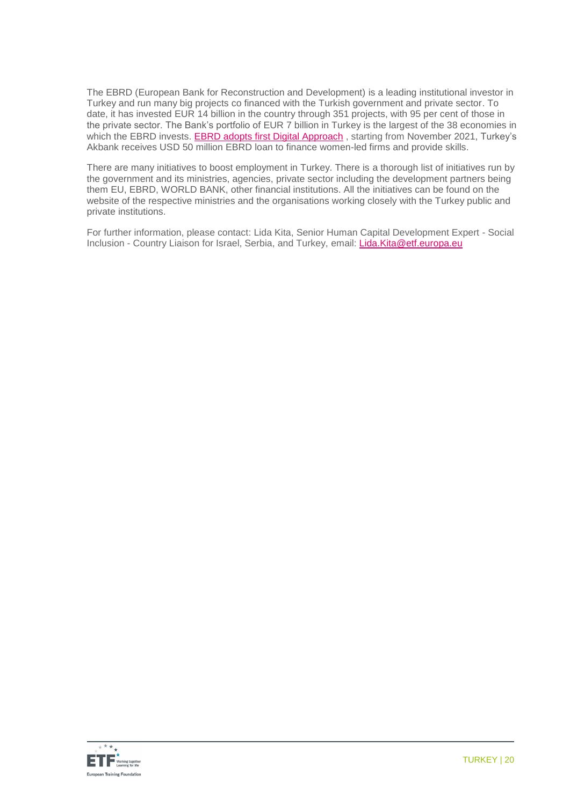The EBRD (European Bank for Reconstruction and Development) is a leading institutional investor in Turkey and run many big projects co financed with the Turkish government and private sector. To date, it has invested EUR 14 billion in the country through 351 projects, with 95 per cent of those in the private sector. The Bank's portfolio of EUR 7 billion in Turkey is the largest of the 38 economies in which the EBRD invests. **EBRD adopts first Digital Approach**, starting from November 2021, Turkey's Akbank receives USD [50 million EBRD loan to finance women-led firms](https://www.ebrd.com/news/2021/turkeys-akbank-receives-us-50-million-ebrd-loan-to-finance-womenled-firms.html) and provide skills.

There are many initiatives to boost employment in Turkey. There is a thorough list of initiatives run by the government and its ministries, agencies, private sector including the development partners being them EU, EBRD, WORLD BANK, other financial institutions. All the initiatives can be found on the website of the respective ministries and the organisations working closely with the Turkey public and private institutions.

For further information, please contact: Lida Kita, Senior Human Capital Development Expert - Social Inclusion - Country Liaison for Israel, Serbia, and Turkey, email: [Lida.Kita@etf.europa.eu](mailto:Lida.Kita@etf.europa.eu)

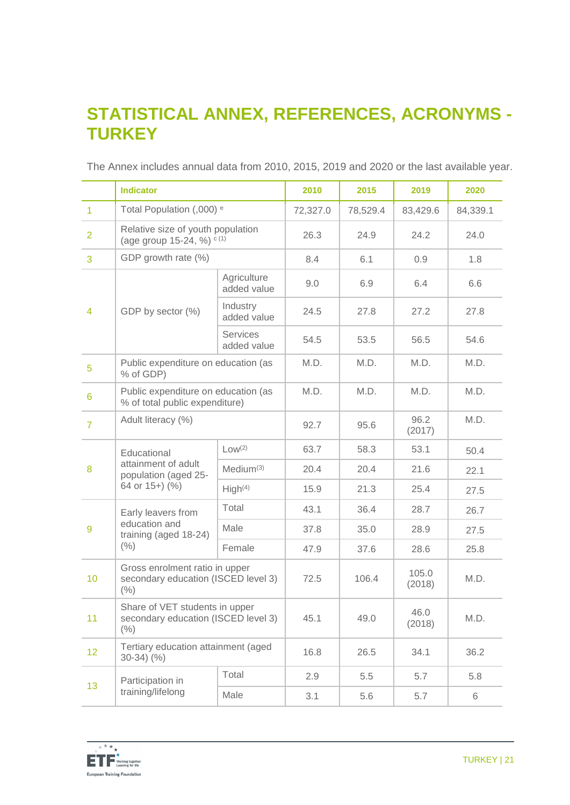## **STATISTICAL ANNEX, REFERENCES, ACRONYMS - TURKEY**

|                 | <b>Indicator</b>                                                              |                            | 2010     | 2015     | 2019            | 2020     |
|-----------------|-------------------------------------------------------------------------------|----------------------------|----------|----------|-----------------|----------|
| $\overline{1}$  | Total Population (,000) <sup>e</sup>                                          |                            | 72,327.0 | 78,529.4 | 83,429.6        | 84,339.1 |
| $\overline{2}$  | Relative size of youth population<br>(age group 15-24, %) $c(1)$              |                            | 26.3     | 24.9     | 24.2            | 24.0     |
| 3               | GDP growth rate (%)                                                           |                            | 8.4      | 6.1      | 0.9             | 1.8      |
|                 |                                                                               | Agriculture<br>added value | 9.0      | 6.9      | 6.4             | 6.6      |
| 4               | GDP by sector (%)                                                             | Industry<br>added value    | 24.5     | 27.8     | 27.2            | 27.8     |
|                 |                                                                               | Services<br>added value    | 54.5     | 53.5     | 56.5            | 54.6     |
| 5               | Public expenditure on education (as<br>% of GDP)                              |                            | M.D.     | M.D.     | M.D.            | M.D.     |
| $6\phantom{1}6$ | Public expenditure on education (as<br>% of total public expenditure)         |                            | M.D.     | M.D.     | M.D.            | M.D.     |
| $\overline{7}$  | Adult literacy (%)                                                            |                            | 92.7     | 95.6     | 96.2<br>(2017)  | M.D.     |
|                 | Educational                                                                   | Low <sup>(2)</sup>         | 63.7     | 58.3     | 53.1            | 50.4     |
| 8               | attainment of adult<br>population (aged 25-                                   | Medium <sup>(3)</sup>      | 20.4     | 20.4     | 21.6            | 22.1     |
|                 | 64 or 15+) (%)                                                                | High <sup>(4)</sup>        | 15.9     | 21.3     | 25.4            | 27.5     |
|                 | Early leavers from                                                            | Total                      | 43.1     | 36.4     | 28.7            | 26.7     |
| 9               | education and<br>training (aged 18-24)                                        | Male                       | 37.8     | 35.0     | 28.9            | 27.5     |
|                 | $(\% )$                                                                       | Female                     | 47.9     | 37.6     | 28.6            | 25.8     |
| 10              | Gross enrolment ratio in upper<br>secondary education (ISCED level 3)<br>(%)  |                            | 72.5     | 106.4    | 105.0<br>(2018) | M.D.     |
| 11              | Share of VET students in upper<br>secondary education (ISCED level 3)<br>(% ) |                            | 45.1     | 49.0     | 46.0<br>(2018)  | M.D.     |
| 12 <sub>2</sub> | Tertiary education attainment (aged<br>$30-34)$ $(%$                          |                            | 16.8     | 26.5     | 34.1            | 36.2     |
|                 | Participation in                                                              | Total                      | 2.9      | 5.5      | 5.7             | 5.8      |
| 13 <sup>°</sup> | training/lifelong<br>Male                                                     |                            | 3.1      | 5.6      | 5.7             | 6        |

The Annex includes annual data from 2010, 2015, 2019 and 2020 or the last available year.

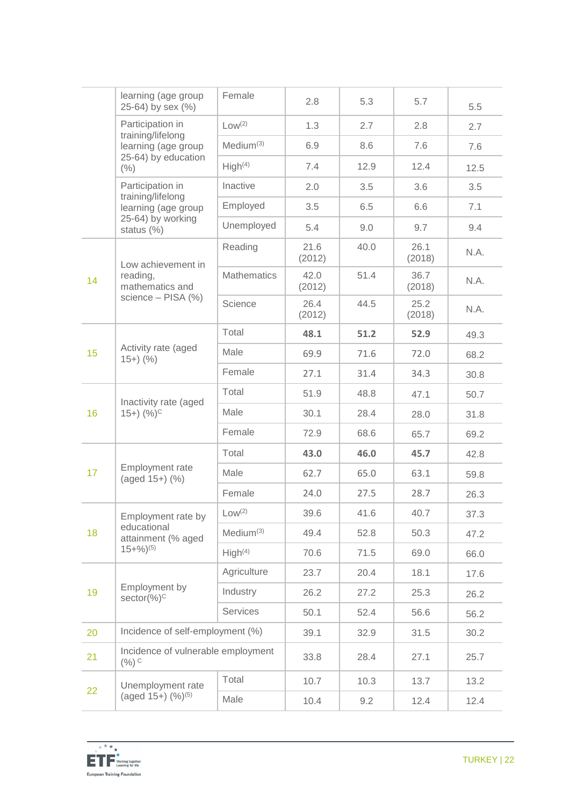|                     | learning (age group<br>25-64) by sex (%)                                         | Female                | 2.8            | 5.3  | 5.7            | 5.5  |
|---------------------|----------------------------------------------------------------------------------|-----------------------|----------------|------|----------------|------|
|                     | Participation in<br>training/lifelong                                            | Low <sup>(2)</sup>    | 1.3            | 2.7  | 2.8            | 2.7  |
| learning (age group |                                                                                  | Medium <sup>(3)</sup> | 6.9            | 8.6  | 7.6            | 7.6  |
|                     | 25-64) by education<br>(% )                                                      | High <sup>(4)</sup>   | 7.4            | 12.9 | 12.4           | 12.5 |
|                     | Participation in                                                                 | Inactive              | 2.0            | 3.5  | 3.6            | 3.5  |
|                     | training/lifelong<br>learning (age group                                         | Employed              | 3.5            | 6.5  | 6.6            | 7.1  |
|                     | 25-64) by working<br>status $(\%)$                                               | Unemployed            | 5.4            | 9.0  | 9.7            | 9.4  |
|                     | Low achievement in                                                               | Reading               | 21.6<br>(2012) | 40.0 | 26.1<br>(2018) | N.A. |
| 14                  | reading,<br>mathematics and<br>science - PISA (%)                                | <b>Mathematics</b>    | 42.0<br>(2012) | 51.4 | 36.7<br>(2018) | N.A. |
|                     |                                                                                  | Science               | 26.4<br>(2012) | 44.5 | 25.2<br>(2018) | N.A. |
|                     | Activity rate (aged<br>$15+)$ (%)                                                | Total                 | 48.1           | 51.2 | 52.9           | 49.3 |
| 15                  |                                                                                  | Male                  | 69.9           | 71.6 | 72.0           | 68.2 |
|                     |                                                                                  | Female                | 27.1           | 31.4 | 34.3           | 30.8 |
|                     | Inactivity rate (aged                                                            | Total                 | 51.9           | 48.8 | 47.1           | 50.7 |
| 16                  | $(15+)$ $(%)^{C}$                                                                | Male                  | 30.1           | 28.4 | 28.0           | 31.8 |
|                     |                                                                                  | Female                | 72.9           | 68.6 | 65.7           | 69.2 |
|                     |                                                                                  | Total                 | 43.0           | 46.0 | 45.7           | 42.8 |
| 17                  | Employment rate<br>(aged 15+) (%)                                                | Male                  | 62.7           | 65.0 | 63.1           | 59.8 |
|                     |                                                                                  | Female                | 24.0           | 27.5 | 28.7           | 26.3 |
|                     | Employment rate by<br>educational<br>attainment (% aged<br>$15+%$ <sup>(5)</sup> | Low <sup>(2)</sup>    | 39.6           | 41.6 | 40.7           | 37.3 |
| 18                  |                                                                                  | Medium <sup>(3)</sup> | 49.4           | 52.8 | 50.3           | 47.2 |
|                     |                                                                                  | High <sup>(4)</sup>   | 70.6           | 71.5 | 69.0           | 66.0 |
|                     | Employment by<br>$sector(%)^C$                                                   | Agriculture           | 23.7           | 20.4 | 18.1           | 17.6 |
| 19                  |                                                                                  | Industry              | 26.2           | 27.2 | 25.3           | 26.2 |
|                     |                                                                                  | Services              | 50.1           | 52.4 | 56.6           | 56.2 |
| 20                  | Incidence of self-employment (%)                                                 |                       | 39.1           | 32.9 | 31.5           | 30.2 |
| 21                  | Incidence of vulnerable employment<br>$(\%)$ C                                   |                       | 33.8           | 28.4 | 27.1           | 25.7 |
|                     | Unemployment rate<br>(aged $15+$ ) $(\frac{9}{6})^{(5)}$                         | Total                 | 10.7           | 10.3 | 13.7           | 13.2 |
| 22                  |                                                                                  | Male                  | 10.4           | 9.2  | 12.4           | 12.4 |

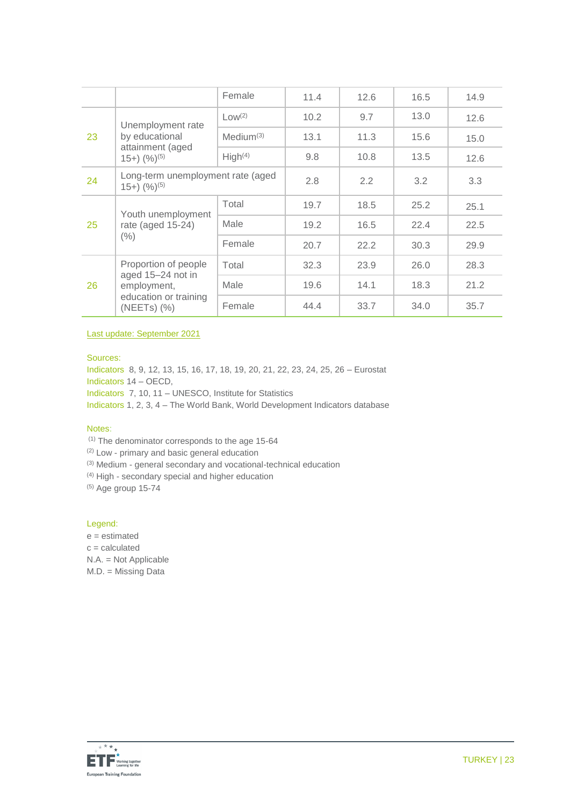|    |                                                                               | Female                | 11.4 | 12.6 | 16.5 | 14.9 |
|----|-------------------------------------------------------------------------------|-----------------------|------|------|------|------|
|    | Unemployment rate                                                             | $Low^{(2)}$           | 10.2 | 9.7  | 13.0 | 12.6 |
| 23 | by educational                                                                | Medium <sup>(3)</sup> | 13.1 | 11.3 | 15.6 | 15.0 |
|    | attainment (aged<br>$(15+)$ $(%)^{(5)}$                                       | High <sup>(4)</sup>   | 9.8  | 10.8 | 13.5 | 12.6 |
| 24 | Long-term unemployment rate (aged<br>$(15+)$ $(%)^{(5)}$                      |                       | 2.8  | 2.2  | 3.2  | 3.3  |
|    | Youth unemployment                                                            | Total                 | 19.7 | 18.5 | 25.2 | 25.1 |
| 25 | rate (aged 15-24)                                                             | Male                  | 19.2 | 16.5 | 22.4 | 22.5 |
|    | $(\% )$                                                                       | Female                | 20.7 | 22.2 | 30.3 | 29.9 |
|    | Proportion of people                                                          | Total                 | 32.3 | 23.9 | 26.0 | 28.3 |
| 26 | aged 15-24 not in<br>employment,<br>education or training<br>$(NEETS)$ $(\%)$ | Male                  | 19.6 | 14.1 | 18.3 | 21.2 |
|    |                                                                               | Female                | 44.4 | 33.7 | 34.0 | 35.7 |

Last update: September 2021

#### Sources:

Indicators 8, 9, 12, 13, 15, 16, 17, 18, 19, 20, 21, 22, 23, 24, 25, 26 – Eurostat Indicators 14 – OECD, Indicators 7, 10, 11 – UNESCO, Institute for Statistics Indicators 1, 2, 3, 4 – The World Bank, World Development Indicators database

#### Notes:

(1) The denominator corresponds to the age 15-64

(2) Low - primary and basic general education

(3) Medium - general secondary and vocational-technical education

(4) High - secondary special and higher education

 $(5)$  Age group 15-74

#### Legend:

e = estimated c = calculated N.A. = Not Applicable M.D. = Missing Data

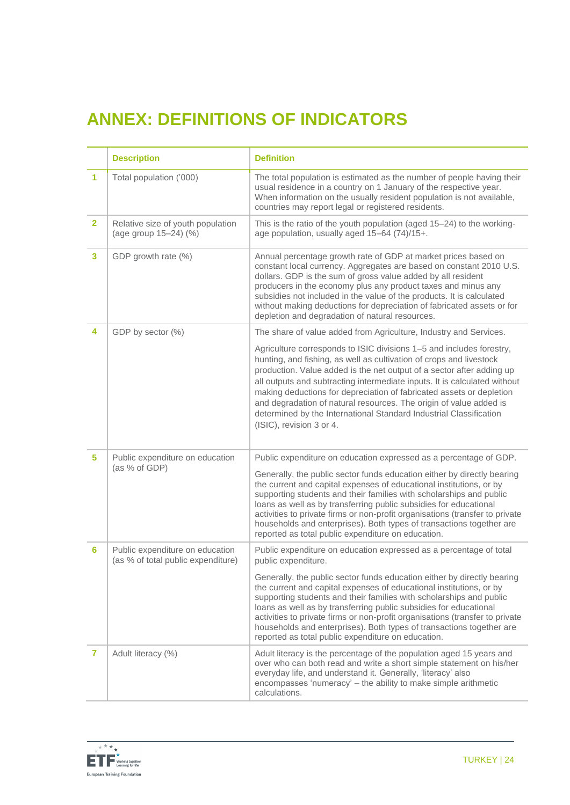# **ANNEX: DEFINITIONS OF INDICATORS**

|                | <b>Description</b>                                                    | <b>Definition</b>                                                                                                                                                                                                                                                                                                                                                                                                                                                                                                                                 |
|----------------|-----------------------------------------------------------------------|---------------------------------------------------------------------------------------------------------------------------------------------------------------------------------------------------------------------------------------------------------------------------------------------------------------------------------------------------------------------------------------------------------------------------------------------------------------------------------------------------------------------------------------------------|
| 1              | Total population ('000)                                               | The total population is estimated as the number of people having their<br>usual residence in a country on 1 January of the respective year.<br>When information on the usually resident population is not available,<br>countries may report legal or registered residents.                                                                                                                                                                                                                                                                       |
| $\overline{2}$ | Relative size of youth population<br>(age group 15-24) (%)            | This is the ratio of the youth population (aged 15-24) to the working-<br>age population, usually aged 15-64 (74)/15+.                                                                                                                                                                                                                                                                                                                                                                                                                            |
| 3              | GDP growth rate (%)                                                   | Annual percentage growth rate of GDP at market prices based on<br>constant local currency. Aggregates are based on constant 2010 U.S.<br>dollars. GDP is the sum of gross value added by all resident<br>producers in the economy plus any product taxes and minus any<br>subsidies not included in the value of the products. It is calculated<br>without making deductions for depreciation of fabricated assets or for<br>depletion and degradation of natural resources.                                                                      |
| 4              | GDP by sector (%)                                                     | The share of value added from Agriculture, Industry and Services.                                                                                                                                                                                                                                                                                                                                                                                                                                                                                 |
|                |                                                                       | Agriculture corresponds to ISIC divisions 1-5 and includes forestry,<br>hunting, and fishing, as well as cultivation of crops and livestock<br>production. Value added is the net output of a sector after adding up<br>all outputs and subtracting intermediate inputs. It is calculated without<br>making deductions for depreciation of fabricated assets or depletion<br>and degradation of natural resources. The origin of value added is<br>determined by the International Standard Industrial Classification<br>(ISIC), revision 3 or 4. |
| 5.             | Public expenditure on education<br>(as % of GDP)                      | Public expenditure on education expressed as a percentage of GDP.                                                                                                                                                                                                                                                                                                                                                                                                                                                                                 |
|                |                                                                       | Generally, the public sector funds education either by directly bearing<br>the current and capital expenses of educational institutions, or by<br>supporting students and their families with scholarships and public<br>loans as well as by transferring public subsidies for educational<br>activities to private firms or non-profit organisations (transfer to private<br>households and enterprises). Both types of transactions together are<br>reported as total public expenditure on education.                                          |
| 6              | Public expenditure on education<br>(as % of total public expenditure) | Public expenditure on education expressed as a percentage of total<br>public expenditure.                                                                                                                                                                                                                                                                                                                                                                                                                                                         |
|                |                                                                       | Generally, the public sector funds education either by directly bearing<br>the current and capital expenses of educational institutions, or by<br>supporting students and their families with scholarships and public<br>loans as well as by transferring public subsidies for educational<br>activities to private firms or non-profit organisations (transfer to private<br>households and enterprises). Both types of transactions together are<br>reported as total public expenditure on education.                                          |
| 7              | Adult literacy (%)                                                    | Adult literacy is the percentage of the population aged 15 years and<br>over who can both read and write a short simple statement on his/her<br>everyday life, and understand it. Generally, 'literacy' also<br>encompasses 'numeracy' - the ability to make simple arithmetic<br>calculations.                                                                                                                                                                                                                                                   |

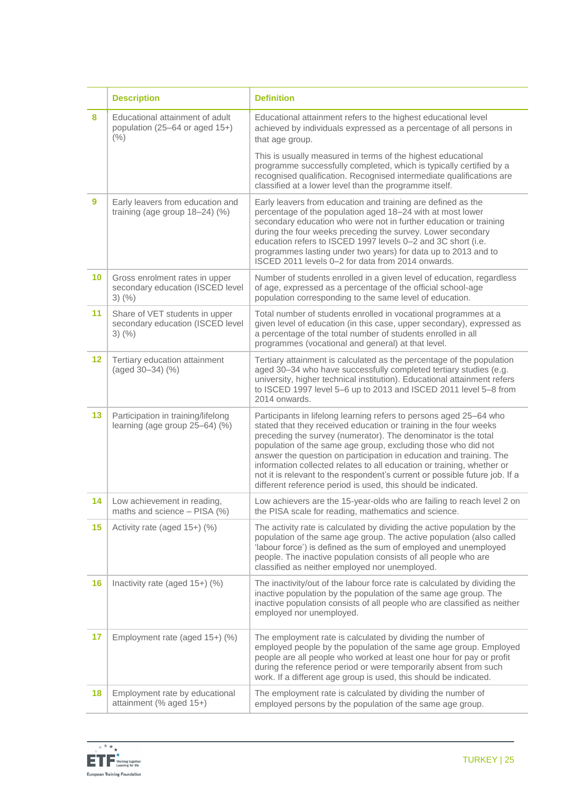|         | <b>Description</b>                                                                 | <b>Definition</b>                                                                                                                                                                                                                                                                                                                                                                                                                                                                                                                                                           |  |  |
|---------|------------------------------------------------------------------------------------|-----------------------------------------------------------------------------------------------------------------------------------------------------------------------------------------------------------------------------------------------------------------------------------------------------------------------------------------------------------------------------------------------------------------------------------------------------------------------------------------------------------------------------------------------------------------------------|--|--|
| 8       | Educational attainment of adult<br>population (25-64 or aged 15+)<br>(% )          | Educational attainment refers to the highest educational level<br>achieved by individuals expressed as a percentage of all persons in<br>that age group.                                                                                                                                                                                                                                                                                                                                                                                                                    |  |  |
|         |                                                                                    | This is usually measured in terms of the highest educational<br>programme successfully completed, which is typically certified by a<br>recognised qualification. Recognised intermediate qualifications are<br>classified at a lower level than the programme itself.                                                                                                                                                                                                                                                                                                       |  |  |
| 9       | Early leavers from education and<br>training (age group $18-24$ ) (%)              | Early leavers from education and training are defined as the<br>percentage of the population aged 18-24 with at most lower<br>secondary education who were not in further education or training<br>during the four weeks preceding the survey. Lower secondary<br>education refers to ISCED 1997 levels 0-2 and 3C short (i.e.<br>programmes lasting under two years) for data up to 2013 and to<br>ISCED 2011 levels 0-2 for data from 2014 onwards.                                                                                                                       |  |  |
| 10      | Gross enrolment rates in upper<br>secondary education (ISCED level<br>$3)$ (%)     | Number of students enrolled in a given level of education, regardless<br>of age, expressed as a percentage of the official school-age<br>population corresponding to the same level of education.                                                                                                                                                                                                                                                                                                                                                                           |  |  |
| 11      | Share of VET students in upper<br>secondary education (ISCED level<br>$3)$ $(\% )$ | Total number of students enrolled in vocational programmes at a<br>given level of education (in this case, upper secondary), expressed as<br>a percentage of the total number of students enrolled in all<br>programmes (vocational and general) at that level.                                                                                                                                                                                                                                                                                                             |  |  |
| $12 \,$ | Tertiary education attainment<br>(aged 30-34) (%)                                  | Tertiary attainment is calculated as the percentage of the population<br>aged 30-34 who have successfully completed tertiary studies (e.g.<br>university, higher technical institution). Educational attainment refers<br>to ISCED 1997 level 5-6 up to 2013 and ISCED 2011 level 5-8 from<br>2014 onwards.                                                                                                                                                                                                                                                                 |  |  |
| 13      | Participation in training/lifelong<br>learning (age group 25-64) (%)               | Participants in lifelong learning refers to persons aged 25-64 who<br>stated that they received education or training in the four weeks<br>preceding the survey (numerator). The denominator is the total<br>population of the same age group, excluding those who did not<br>answer the question on participation in education and training. The<br>information collected relates to all education or training, whether or<br>not it is relevant to the respondent's current or possible future job. If a<br>different reference period is used, this should be indicated. |  |  |
| 14      | Low achievement in reading,<br>maths and science - PISA (%)                        | Low achievers are the 15-year-olds who are failing to reach level 2 on<br>the PISA scale for reading, mathematics and science.                                                                                                                                                                                                                                                                                                                                                                                                                                              |  |  |
| 15      | Activity rate (aged 15+) (%)                                                       | The activity rate is calculated by dividing the active population by the<br>population of the same age group. The active population (also called<br>'labour force') is defined as the sum of employed and unemployed<br>people. The inactive population consists of all people who are<br>classified as neither employed nor unemployed.                                                                                                                                                                                                                                    |  |  |
| 16      | Inactivity rate (aged 15+) (%)                                                     | The inactivity/out of the labour force rate is calculated by dividing the<br>inactive population by the population of the same age group. The<br>inactive population consists of all people who are classified as neither<br>employed nor unemployed.                                                                                                                                                                                                                                                                                                                       |  |  |
| 17      | Employment rate (aged 15+) (%)                                                     | The employment rate is calculated by dividing the number of<br>employed people by the population of the same age group. Employed<br>people are all people who worked at least one hour for pay or profit<br>during the reference period or were temporarily absent from such<br>work. If a different age group is used, this should be indicated.                                                                                                                                                                                                                           |  |  |
| 18      | Employment rate by educational<br>attainment (% aged 15+)                          | The employment rate is calculated by dividing the number of<br>employed persons by the population of the same age group.                                                                                                                                                                                                                                                                                                                                                                                                                                                    |  |  |

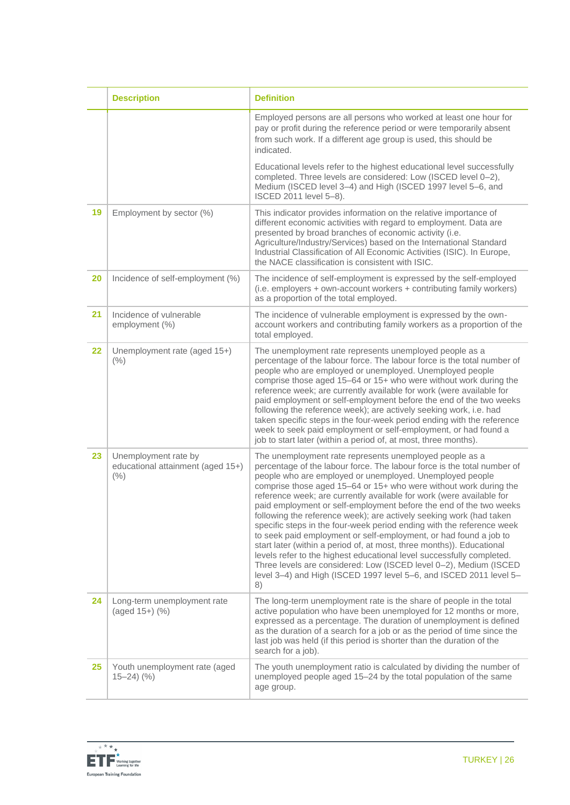|    | <b>Description</b>                                                    | <b>Definition</b>                                                                                                                                                                                                                                                                                                                                                                                                                                                                                                                                                                                                                                                                                                                                                                                                                                                                                                                         |
|----|-----------------------------------------------------------------------|-------------------------------------------------------------------------------------------------------------------------------------------------------------------------------------------------------------------------------------------------------------------------------------------------------------------------------------------------------------------------------------------------------------------------------------------------------------------------------------------------------------------------------------------------------------------------------------------------------------------------------------------------------------------------------------------------------------------------------------------------------------------------------------------------------------------------------------------------------------------------------------------------------------------------------------------|
|    |                                                                       | Employed persons are all persons who worked at least one hour for<br>pay or profit during the reference period or were temporarily absent<br>from such work. If a different age group is used, this should be<br>indicated.                                                                                                                                                                                                                                                                                                                                                                                                                                                                                                                                                                                                                                                                                                               |
|    |                                                                       | Educational levels refer to the highest educational level successfully<br>completed. Three levels are considered: Low (ISCED level 0-2),<br>Medium (ISCED level 3-4) and High (ISCED 1997 level 5-6, and<br>ISCED 2011 level 5-8).                                                                                                                                                                                                                                                                                                                                                                                                                                                                                                                                                                                                                                                                                                        |
| 19 | Employment by sector (%)                                              | This indicator provides information on the relative importance of<br>different economic activities with regard to employment. Data are<br>presented by broad branches of economic activity (i.e.<br>Agriculture/Industry/Services) based on the International Standard<br>Industrial Classification of All Economic Activities (ISIC). In Europe,<br>the NACE classification is consistent with ISIC.                                                                                                                                                                                                                                                                                                                                                                                                                                                                                                                                     |
| 20 | Incidence of self-employment (%)                                      | The incidence of self-employment is expressed by the self-employed<br>(i.e. employers + own-account workers + contributing family workers)<br>as a proportion of the total employed.                                                                                                                                                                                                                                                                                                                                                                                                                                                                                                                                                                                                                                                                                                                                                      |
| 21 | Incidence of vulnerable<br>employment (%)                             | The incidence of vulnerable employment is expressed by the own-<br>account workers and contributing family workers as a proportion of the<br>total employed.                                                                                                                                                                                                                                                                                                                                                                                                                                                                                                                                                                                                                                                                                                                                                                              |
| 22 | Unemployment rate (aged 15+)<br>(% )                                  | The unemployment rate represents unemployed people as a<br>percentage of the labour force. The labour force is the total number of<br>people who are employed or unemployed. Unemployed people<br>comprise those aged 15-64 or 15+ who were without work during the<br>reference week; are currently available for work (were available for<br>paid employment or self-employment before the end of the two weeks<br>following the reference week); are actively seeking work, i.e. had<br>taken specific steps in the four-week period ending with the reference<br>week to seek paid employment or self-employment, or had found a<br>job to start later (within a period of, at most, three months).                                                                                                                                                                                                                                   |
| 23 | Unemployment rate by<br>educational attainment (aged 15+)<br>(% )     | The unemployment rate represents unemployed people as a<br>percentage of the labour force. The labour force is the total number of<br>people who are employed or unemployed. Unemployed people<br>comprise those aged 15-64 or 15+ who were without work during the<br>reference week; are currently available for work (were available for<br>paid employment or self-employment before the end of the two weeks<br>following the reference week); are actively seeking work (had taken<br>specific steps in the four-week period ending with the reference week<br>to seek paid employment or self-employment, or had found a job to<br>start later (within a period of, at most, three months)). Educational<br>levels refer to the highest educational level successfully completed.<br>Three levels are considered: Low (ISCED level 0-2), Medium (ISCED<br>level 3-4) and High (ISCED 1997 level 5-6, and ISCED 2011 level 5-<br>8) |
| 24 | Long-term unemployment rate<br>(aged 15+) (%)                         | The long-term unemployment rate is the share of people in the total<br>active population who have been unemployed for 12 months or more,<br>expressed as a percentage. The duration of unemployment is defined<br>as the duration of a search for a job or as the period of time since the<br>last job was held (if this period is shorter than the duration of the<br>search for a job).                                                                                                                                                                                                                                                                                                                                                                                                                                                                                                                                                 |
| 25 | Youth unemployment rate (aged<br>$15 - 24$ $\left(\frac{9}{6}\right)$ | The youth unemployment ratio is calculated by dividing the number of<br>unemployed people aged 15–24 by the total population of the same<br>age group.                                                                                                                                                                                                                                                                                                                                                                                                                                                                                                                                                                                                                                                                                                                                                                                    |

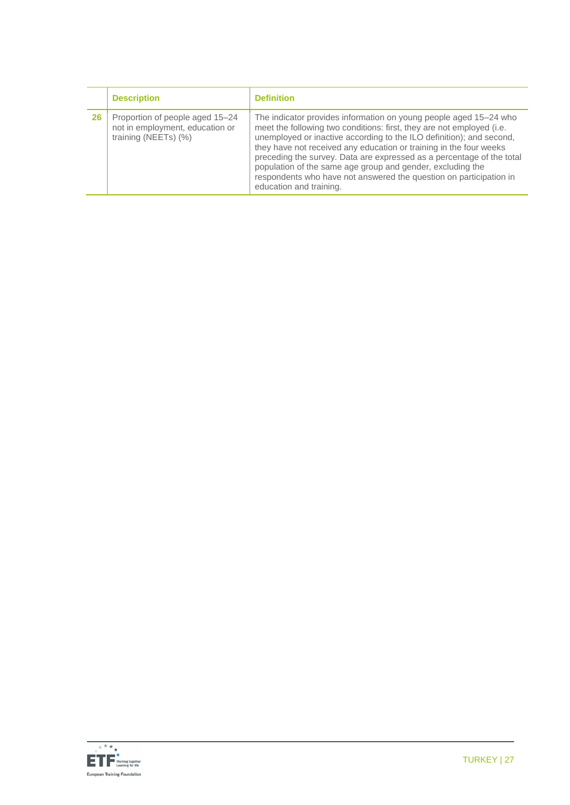|    | <b>Description</b>                                                                         | <b>Definition</b>                                                                                                                                                                                                                                                                                                                                                                                                                                                                                                                |
|----|--------------------------------------------------------------------------------------------|----------------------------------------------------------------------------------------------------------------------------------------------------------------------------------------------------------------------------------------------------------------------------------------------------------------------------------------------------------------------------------------------------------------------------------------------------------------------------------------------------------------------------------|
| 26 | Proportion of people aged 15-24<br>not in employment, education or<br>training (NEETs) (%) | The indicator provides information on young people aged 15–24 who<br>meet the following two conditions: first, they are not employed (i.e.<br>unemployed or inactive according to the ILO definition); and second,<br>they have not received any education or training in the four weeks<br>preceding the survey. Data are expressed as a percentage of the total<br>population of the same age group and gender, excluding the<br>respondents who have not answered the question on participation in<br>education and training. |

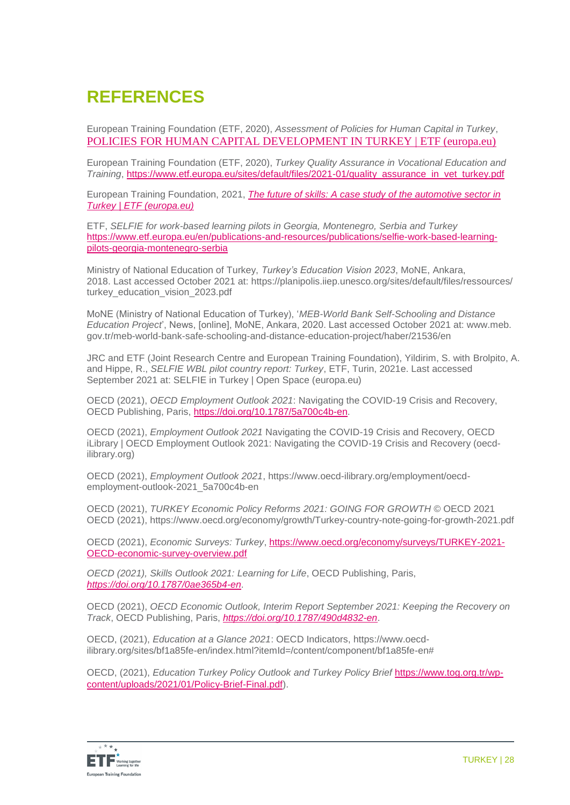## **REFERENCES**

European Training Foundation (ETF, 2020), *Assessment of Policies for Human Capital in Turkey*, [POLICIES FOR HUMAN CAPITAL DEVELOPMENT IN TURKEY | ETF \(europa.eu\)](https://www.etf.europa.eu/en/publications-and-resources/publications/trp-assessment-reports/turkey-2020)

European Training Foundation (ETF, 2020), *Turkey Quality Assurance in Vocational Education and Training*, [https://www.etf.europa.eu/sites/default/files/2021-01/quality\\_assurance\\_in\\_vet\\_turkey.pdf](https://www.etf.europa.eu/sites/default/files/2021-01/quality_assurance_in_vet_turkey.pdf)

European Training Foundation, 2021, *[The future of skills: A case study of the automotive sector in](https://www.etf.europa.eu/en/publications-and-resources/publications/future-skills-case-study-automotive-sector-turkey)  [Turkey | ETF \(europa.eu\)](https://www.etf.europa.eu/en/publications-and-resources/publications/future-skills-case-study-automotive-sector-turkey)*

ETF, *SELFIE for work-based learning pilots in Georgia, Montenegro, Serbia and Turkey* [https://www.etf.europa.eu/en/publications-and-resources/publications/selfie-work-based-learning](https://www.etf.europa.eu/en/publications-and-resources/publications/selfie-work-based-learning-pilots-georgia-montenegro-serbia)[pilots-georgia-montenegro-serbia](https://www.etf.europa.eu/en/publications-and-resources/publications/selfie-work-based-learning-pilots-georgia-montenegro-serbia)

Ministry of National Education of Turkey, *Turkey's Education Vision 2023*, MoNE, Ankara, 2018. Last accessed October 2021 at: https://planipolis.iiep.unesco.org/sites/default/files/ressources/ turkey\_education\_vision\_2023.pdf

MoNE (Ministry of National Education of Turkey), '*MEB-World Bank Self-Schooling and Distance Education Project*', News, [online], MoNE, Ankara, 2020. Last accessed October 2021 at: www.meb. gov.tr/meb-world-bank-safe-schooling-and-distance-education-project/haber/21536/en

JRC and ETF (Joint Research Centre and European Training Foundation), Yildirim, S. with Brolpito, A. and Hippe, R., *SELFIE WBL pilot country report: Turkey*, ETF, Turin, 2021e. Last accessed September 2021 at: SELFIE in Turkey | Open Space (europa.eu)

OECD (2021), *OECD Employment Outlook 2021*: Navigating the COVID-19 Crisis and Recovery, OECD Publishing, Paris, [https://doi.org/10.1787/5a700c4b-en.](https://doi.org/10.1787/5a700c4b-en)

OECD (2021), *Employment Outlook 2021* Navigating the COVID-19 Crisis and Recovery, [OECD](https://www.oecd-ilibrary.org/employment/oecd-employment-outlook-2021_5a700c4b-en)  [iLibrary | OECD Employment Outlook 2021: Navigating the COVID-19 Crisis and Recovery \(oecd](https://www.oecd-ilibrary.org/employment/oecd-employment-outlook-2021_5a700c4b-en)[ilibrary.org\)](https://www.oecd-ilibrary.org/employment/oecd-employment-outlook-2021_5a700c4b-en)

OECD (2021), *Employment Outlook 2021*, https://www.oecd-ilibrary.org/employment/oecdemployment-outlook-2021\_5a700c4b-en

OECD (2021), *TURKEY Economic Policy Reforms 2021: GOING FOR GROWTH* © OECD 2021 OECD (2021),<https://www.oecd.org/economy/growth/Turkey-country-note-going-for-growth-2021.pdf>

OECD (2021), *Economic Surveys: Turkey*, [https://www.oecd.org/economy/surveys/TURKEY-2021-](https://www.oecd.org/economy/surveys/TURKEY-2021-OECD-economic-survey-overview.pdf) [OECD-economic-survey-overview.pdf](https://www.oecd.org/economy/surveys/TURKEY-2021-OECD-economic-survey-overview.pdf)

*OECD (2021), Skills Outlook 2021: Learning for Life*, OECD Publishing, Paris, *<https://doi.org/10.1787/0ae365b4-en>*.

OECD (2021), *OECD Economic Outlook, Interim Report September 2021: Keeping the Recovery on Track*, OECD Publishing, Paris, *<https://doi.org/10.1787/490d4832-en>*.

OECD, (2021), *Education at a Glance 2021*: OECD Indicators, [https://www.oecd](https://www.oecd-ilibrary.org/sites/bf1a85fe-en/index.html?itemId=/content/component/bf1a85fe-en)[ilibrary.org/sites/bf1a85fe-en/index.html?itemId=/content/component/bf1a85fe-en#](https://www.oecd-ilibrary.org/sites/bf1a85fe-en/index.html?itemId=/content/component/bf1a85fe-en)

OECD, (2021), *Education Turkey Policy Outlook and Turkey Policy Brief* [https://www.tog.org.tr/wp](https://www.tog.org.tr/wp-content/uploads/2021/01/Policy-Brief-Final.pdf)[content/uploads/2021/01/Policy-Brief-Final.pdf\)](https://www.tog.org.tr/wp-content/uploads/2021/01/Policy-Brief-Final.pdf).

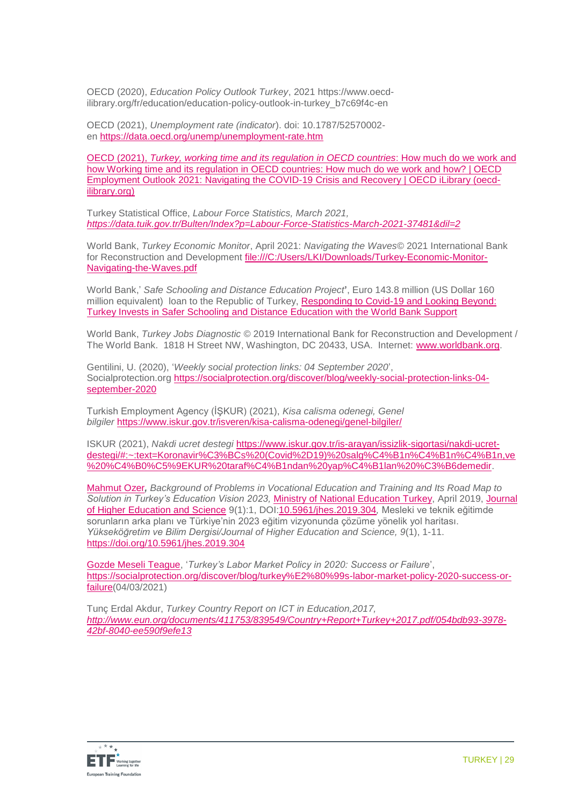OECD (2020), *Education Policy Outlook Turkey*, 2021 https://www.oecdilibrary.org/fr/education/education-policy-outlook-in-turkey\_b7c69f4c-en

OECD (2021), *Unemployment rate (indicator*). doi: 10.1787/52570002 en <https://data.oecd.org/unemp/unemployment-rate.htm>

OECD (2021), *[Turkey, working time and its regulation in OECD countries](https://www.oecd-ilibrary.org/sites/5a700c4b-en/1/3/5/index.html?itemId=/content/publication/5a700c4b-en&_csp_=d31326a7706c58707d6aad05ad9dc5ab&itemIGO=oecd&itemContentType=book)*: How much do we work and how Working time and its regulation in OECD [countries: How much do we work and how? | OECD](https://www.oecd-ilibrary.org/sites/5a700c4b-en/1/3/5/index.html?itemId=/content/publication/5a700c4b-en&_csp_=d31326a7706c58707d6aad05ad9dc5ab&itemIGO=oecd&itemContentType=book)  Employment Outlook 2021: [Navigating the COVID-19 Crisis and Recovery | OECD iLibrary \(oecd](https://www.oecd-ilibrary.org/sites/5a700c4b-en/1/3/5/index.html?itemId=/content/publication/5a700c4b-en&_csp_=d31326a7706c58707d6aad05ad9dc5ab&itemIGO=oecd&itemContentType=book)[ilibrary.org\)](https://www.oecd-ilibrary.org/sites/5a700c4b-en/1/3/5/index.html?itemId=/content/publication/5a700c4b-en&_csp_=d31326a7706c58707d6aad05ad9dc5ab&itemIGO=oecd&itemContentType=book)

Turkey Statistical Office, *Labour Force Statistics, March 2021, <https://data.tuik.gov.tr/Bulten/Index?p=Labour-Force-Statistics-March-2021-37481&dil=2>*

World Bank, *Turkey Economic Monitor*, April 2021: *Navigating the Waves*© 2021 International Bank for Reconstruction and Development [file:///C:/Users/LKI/Downloads/Turkey-Economic-Monitor-](file:///C:/Users/LKI/Downloads/Turkey-Economic-Monitor-Navigating-the-Waves.pdf)[Navigating-the-Waves.pdf](file:///C:/Users/LKI/Downloads/Turkey-Economic-Monitor-Navigating-the-Waves.pdf)

World Bank,' *Safe Schooling and Distance Education Project***'**, Euro 143.8 million (US Dollar 160 million equivalent) loan to the Republic of Turkey, [Responding to Covid-19 and Looking Beyond:](https://www.worldbank.org/en/news/press-release/2020/06/25/responding-to-covid-19-and-looking-beyond-turkey-invests-in-safer-schooling-and-distance-education-with-the-world-bank-support)  [Turkey Invests in Safer Schooling and Distance Education with the World Bank Support](https://www.worldbank.org/en/news/press-release/2020/06/25/responding-to-covid-19-and-looking-beyond-turkey-invests-in-safer-schooling-and-distance-education-with-the-world-bank-support)

World Bank, *Turkey Jobs Diagnostic* © 2019 International Bank for Reconstruction and Development / The World Bank. 1818 H Street NW, Washington, DC 20433, USA. Internet: [www.worldbank.org.](http://www.worldbank.org/)

Gentilini, U. (2020), '*Weekly social protection links: 04 September 2020*', Socialprotection.org [https://socialprotection.org/discover/blog/weekly-social-protection-links-04](https://socialprotection.org/discover/blog/weekly-social-protection-links-04-september-2020) [september-2020](https://socialprotection.org/discover/blog/weekly-social-protection-links-04-september-2020)

Turkish Employment Agency (İŞKUR) (2021), *Kisa calisma odenegi, Genel bilgiler* <https://www.iskur.gov.tr/isveren/kisa-calisma-odenegi/genel-bilgiler/>

ISKUR (2021), *Nakdi ucret destegi* [https://www.iskur.gov.tr/is-arayan/issizlik-sigortasi/nakdi-ucret](https://www.iskur.gov.tr/is-arayan/issizlik-sigortasi/nakdi-ucret-destegi/#:~:text=Koronavir%C3%BCs%20(Covid%2D19)%20salg%C4%B1n%C4%B1n%C4%B1n,ve%20%C4%B0%C5%9EKUR%20taraf%C4%B1ndan%20yap%C4%B1lan%20%C3%B6demedir)[destegi/#:~:text=Koronavir%C3%BCs%20\(Covid%2D19\)%20salg%C4%B1n%C4%B1n%C4%B1n,ve](https://www.iskur.gov.tr/is-arayan/issizlik-sigortasi/nakdi-ucret-destegi/#:~:text=Koronavir%C3%BCs%20(Covid%2D19)%20salg%C4%B1n%C4%B1n%C4%B1n,ve%20%C4%B0%C5%9EKUR%20taraf%C4%B1ndan%20yap%C4%B1lan%20%C3%B6demedir) [%20%C4%B0%C5%9EKUR%20taraf%C4%B1ndan%20yap%C4%B1lan%20%C3%B6demedir.](https://www.iskur.gov.tr/is-arayan/issizlik-sigortasi/nakdi-ucret-destegi/#:~:text=Koronavir%C3%BCs%20(Covid%2D19)%20salg%C4%B1n%C4%B1n%C4%B1n,ve%20%C4%B0%C5%9EKUR%20taraf%C4%B1ndan%20yap%C4%B1lan%20%C3%B6demedir)

[Mahmut Ozer](https://www.researchgate.net/profile/Mahmut-Ozer)*, Background of Problems in Vocational Education and Training and Its Road Map to Solution in Turkey's Education Vision 2023,* [Ministry of National Education Turkey,](https://www.researchgate.net/institution/Ministry_of_National_Education_Turkey) April 2019, [Journal](https://www.researchgate.net/journal/Journal-of-Higher-Education-and-Science-2146-5959)  [of Higher Education and Science](https://www.researchgate.net/journal/Journal-of-Higher-Education-and-Science-2146-5959) 9(1):1, DOI[:10.5961/jhes.2019.304](http://dx.doi.org/10.5961/jhes.2019.304)*,* Mesleki ve teknik eğitimde sorunların arka planı ve Türkiye'nin 2023 eğitim vizyonunda çözüme yönelik yol haritası. *Yükseköğretim ve Bilim Dergisi/Journal of Higher Education and Science, 9*(1), 1-11. <https://doi.org/10.5961/jhes.2019.304>

[Gozde Meseli Teague,](https://socialprotection.org/discover/blog/authors/author/23361) '*Turkey's Labor Market Policy in 2020: Success or Failure*', [https://socialprotection.org/discover/blog/turkey%E2%80%99s-labor-market-policy-2020-success-or](https://socialprotection.org/discover/blog/turkey%E2%80%99s-labor-market-policy-2020-success-or-failure)[failure\(](https://socialprotection.org/discover/blog/turkey%E2%80%99s-labor-market-policy-2020-success-or-failure)04/03/2021)

Tunç Erdal Akdur, *Turkey Country Report on ICT in Education,2017, [http://www.eun.org/documents/411753/839549/Country+Report+Turkey+2017.pdf/054bdb93-3978-](http://www.eun.org/documents/411753/839549/Country+Report+Turkey+2017.pdf/054bdb93-3978-42bf-8040-ee590f9efe13) [42bf-8040-ee590f9efe13](http://www.eun.org/documents/411753/839549/Country+Report+Turkey+2017.pdf/054bdb93-3978-42bf-8040-ee590f9efe13)*

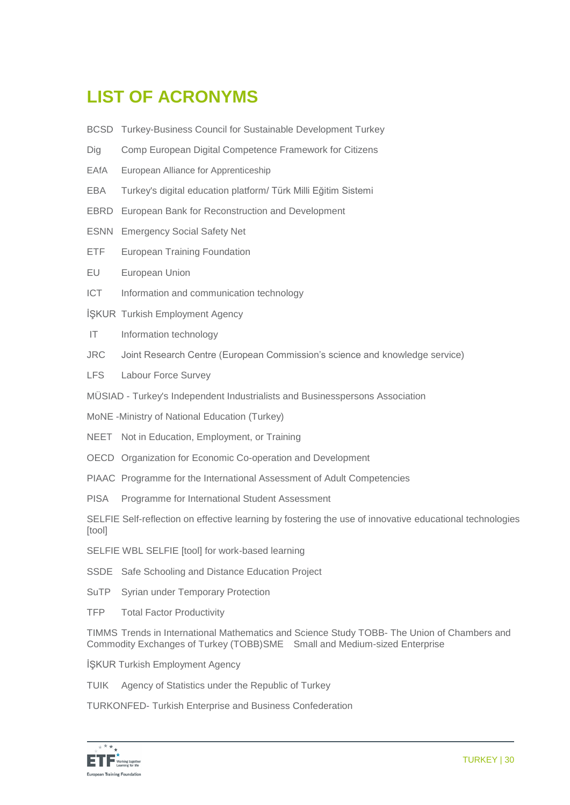# **LIST OF ACRONYM[S](http://www.skdturkiye.org/en)**

- BCSD Turkey-Business Council for Sustainable Development Turkey
- Dig Comp European Digital Competence Framework for Citizens
- EAfA European Alliance for Apprenticeship
- EBA Turkey's digital education platform/ Türk Milli Eğitim Sistemi
- EBRD European Bank for Reconstruction and Development
- ESNN Emergency Social Safety Net
- ETF European Training Foundation
- EU European Union
- ICT Information and communication technology
- İŞKUR Turkish Employment Agency
- IT Information technology
- JRC Joint Research Centre (European Commission's science and knowledge service)
- LFS Labour Force Survey
- MÜSIAD Turkey's Independent Industrialists and Businesspersons Association
- MoNE -Ministry of National Education (Turkey)
- NEET Not in Education, Employment, or Training
- OECD Organization for Economic Co-operation and Development
- PIAAC Programme for the International Assessment of Adult Competencies
- PISA Programme for International Student Assessment

SELFIE Self-reflection on effective learning by fostering the use of innovative educational technologies [tool]

- SELFIE WBL SELFIE [tool] for work-based learning
- SSDE Safe Schooling and Distance Education Project
- SuTP Syrian under Temporary Protection
- TFP Total Factor Productivity

TIMMS Trends in International Mathematics and Science Study TOBB- The Union of Chambers and Commodity Exchanges of Turkey (TOBB)SME Small and Medium-sized Enterprise

İŞKUR Turkish Employment Agency

TUIK Agency of Statistics under the Republic of Turkey

TURKONFED- Turkish Enterprise and Business Confederation

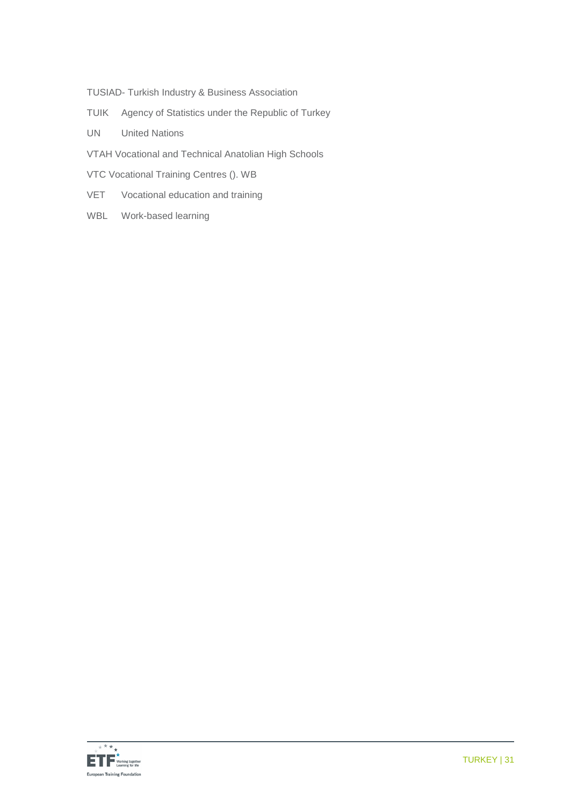- TUSIAD- Turkish Industry & Business Association
- TUIK Agency of Statistics under the Republic of Turkey
- UN United Nations
- VTAH Vocational and Technical Anatolian High Schools
- VTC Vocational Training Centres (). WB
- VET Vocational education and training
- WBL Work-based learning